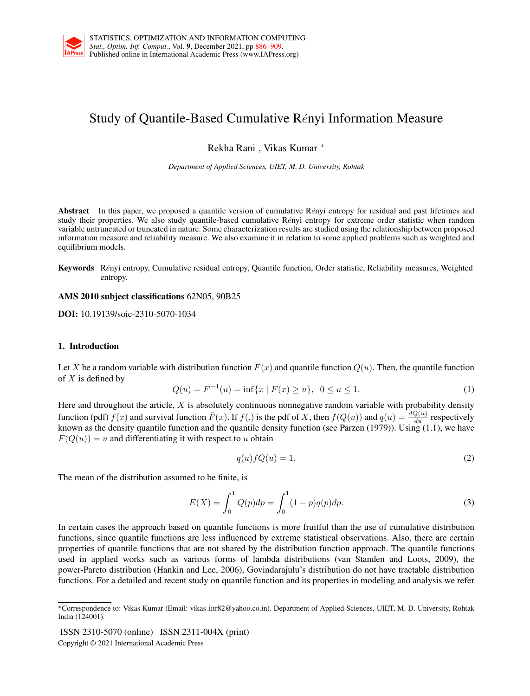<span id="page-0-0"></span>

# Study of Quantile-Based Cumulative Rényi Information Measure

Rekha Rani , Vikas Kumar \*

*Department of Applied Sciences, UIET, M. D. University, Rohtak*

Abstract In this paper, we proposed a quantile version of cumulative Rényi entropy for residual and past lifetimes and study their properties. We also study quantile-based cumulative Rényi entropy for extreme order statistic when random variable untruncated or truncated in nature. Some characterization results are studied using the relationship between proposed information measure and reliability measure. We also examine it in relation to some applied problems such as weighted and equilibrium models.

Keywords Rényi entropy, Cumulative residual entropy, Quantile function, Order statistic, Reliability measures, Weighted entropy.

AMS 2010 subject classifications 62N05, 90B25

DOI: 10.19139/soic-2310-5070-1034

# 1. Introduction

Let X be a random variable with distribution function  $F(x)$  and quantile function  $Q(u)$ . Then, the quantile function of  $X$  is defined by

<span id="page-0-1"></span>
$$
Q(u) = F^{-1}(u) = \inf\{x \mid F(x) \ge u\}, \ \ 0 \le u \le 1. \tag{1}
$$

Here and throughout the article,  $X$  is absolutely continuous nonnegative random variable with probability density function (pdf)  $f(x)$  and survival function  $\bar{F}(x)$ . If  $f(.)$  is the pdf of X, then  $f(Q(u))$  and  $q(u) = \frac{dQ(u)}{du}$  respectively known as the density quantile function and the quantile density function (see Parzen (1979)). Using  $(1.1)$ , we have  $F(Q(u)) = u$  and differentiating it with respect to u obtain

$$
q(u)fQ(u) = 1.
$$
\n<sup>(2)</sup>

The mean of the distribution assumed to be finite, is

$$
E(X) = \int_0^1 Q(p) dp = \int_0^1 (1 - p) q(p) dp.
$$
 (3)

In certain cases the approach based on quantile functions is more fruitful than the use of cumulative distribution functions, since quantile functions are less influenced by extreme statistical observations. Also, there are certain properties of quantile functions that are not shared by the distribution function approach. The quantile functions used in applied works such as various forms of lambda distributions (van Standen and Loots, 2009), the power-Pareto distribution (Hankin and Lee, 2006), Govindarajulu's distribution do not have tractable distribution functions. For a detailed and recent study on quantile function and its properties in modeling and analysis we refer

ISSN 2310-5070 (online) ISSN 2311-004X (print)

Copyright © 2021 International Academic Press

<sup>∗</sup>Correspondence to: Vikas Kumar (Email: vikas iitr82@yahoo.co.in). Department of Applied Sciences, UIET, M. D. University, Rohtak India (124001).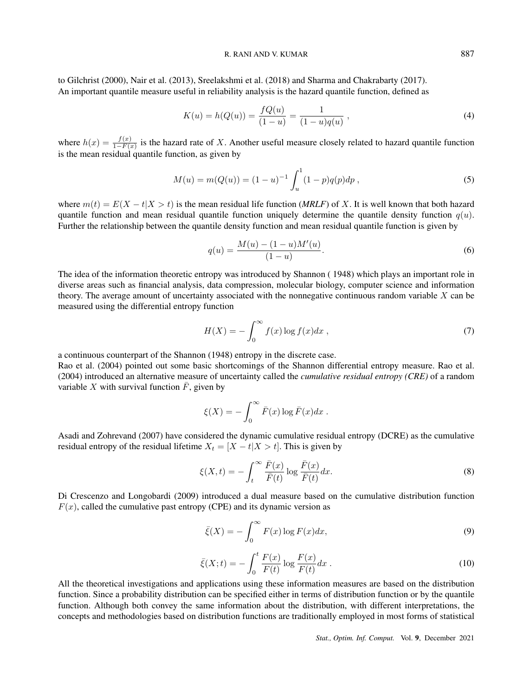## R. RANI AND V. KUMAR 887

to Gilchrist (2000), Nair et al. (2013), Sreelakshmi et al. (2018) and Sharma and Chakrabarty (2017). An important quantile measure useful in reliability analysis is the hazard quantile function, defined as

<span id="page-1-1"></span>
$$
K(u) = h(Q(u)) = \frac{fQ(u)}{(1-u)} = \frac{1}{(1-u)q(u)},
$$
\n(4)

where  $h(x) = \frac{f(x)}{1-F(x)}$  is the hazard rate of X. Another useful measure closely related to hazard quantile function is the mean residual quantile function, as given by

$$
M(u) = m(Q(u)) = (1 - u)^{-1} \int_{u}^{1} (1 - p)q(p)dp ,
$$
\n(5)

where  $m(t) = E(X - t|X > t)$  is the mean residual life function (*MRLF*) of X. It is well known that both hazard quantile function and mean residual quantile function uniquely determine the quantile density function  $q(u)$ . Further the relationship between the quantile density function and mean residual quantile function is given by

<span id="page-1-0"></span>
$$
q(u) = \frac{M(u) - (1 - u)M'(u)}{(1 - u)}.
$$
\n(6)

The idea of the information theoretic entropy was introduced by Shannon ( 1948) which plays an important role in diverse areas such as financial analysis, data compression, molecular biology, computer science and information theory. The average amount of uncertainty associated with the nonnegative continuous random variable X can be measured using the differential entropy function

$$
H(X) = -\int_0^\infty f(x) \log f(x) dx , \qquad (7)
$$

a continuous counterpart of the Shannon (1948) entropy in the discrete case.

Rao et al. (2004) pointed out some basic shortcomings of the Shannon differential entropy measure. Rao et al. (2004) introduced an alternative measure of uncertainty called the *cumulative residual entropy (CRE)* of a random variable X with survival function  $\bar{F}$ , given by

$$
\xi(X) = -\int_0^\infty \bar{F}(x) \log \bar{F}(x) dx.
$$

Asadi and Zohrevand (2007) have considered the dynamic cumulative residual entropy (DCRE) as the cumulative residual entropy of the residual lifetime  $X_t = [X - t]X > t$ . This is given by

$$
\xi(X,t) = -\int_{t}^{\infty} \frac{\bar{F}(x)}{\bar{F}(t)} \log \frac{\bar{F}(x)}{\bar{F}(t)} dx.
$$
\n(8)

Di Crescenzo and Longobardi (2009) introduced a dual measure based on the cumulative distribution function  $F(x)$ , called the cumulative past entropy (CPE) and its dynamic version as

<span id="page-1-2"></span>
$$
\bar{\xi}(X) = -\int_0^\infty F(x) \log F(x) dx,\tag{9}
$$

<span id="page-1-3"></span>
$$
\bar{\xi}(X;t) = -\int_0^t \frac{F(x)}{F(t)} \log \frac{F(x)}{F(t)} dx .
$$
\n(10)

All the theoretical investigations and applications using these information measures are based on the distribution function. Since a probability distribution can be specified either in terms of distribution function or by the quantile function. Although both convey the same information about the distribution, with different interpretations, the concepts and methodologies based on distribution functions are traditionally employed in most forms of statistical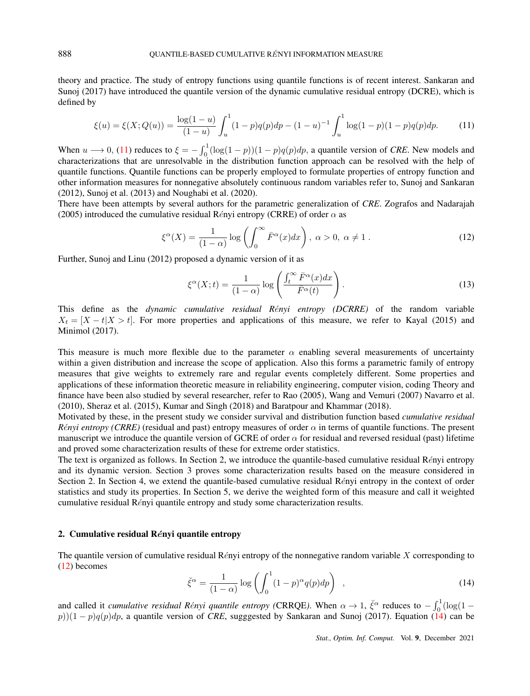theory and practice. The study of entropy functions using quantile functions is of recent interest. Sankaran and Sunoj (2017) have introduced the quantile version of the dynamic cumulative residual entropy (DCRE), which is defined by

<span id="page-2-0"></span>
$$
\xi(u) = \xi(X; Q(u)) = \frac{\log(1-u)}{(1-u)} \int_u^1 (1-p)q(p)dp - (1-u)^{-1} \int_u^1 \log(1-p)(1-p)q(p)dp.
$$
 (11)

When  $u \rightarrow 0$ , [\(11\)](#page-2-0) reduces to  $\xi = -\int_0^1 (\log(1-p))(1-p)q(p)dp$ , a quantile version of *CRE*. New models and characterizations that are unresolvable in the distribution function approach can be resolved with the help of quantile functions. Quantile functions can be properly employed to formulate properties of entropy function and other information measures for nonnegative absolutely continuous random variables refer to, Sunoj and Sankaran (2012), Sunoj et al. (2013) and Noughabi et al. (2020).

There have been attempts by several authors for the parametric generalization of *CRE*. Zografos and Nadarajah (2005) introduced the cumulative residual Rényi entropy (CRRE) of order  $\alpha$  as

<span id="page-2-1"></span>
$$
\xi^{\alpha}(X) = \frac{1}{(1-\alpha)} \log \left( \int_0^{\infty} \bar{F}^{\alpha}(x) dx \right), \ \alpha > 0, \ \alpha \neq 1 \ . \tag{12}
$$

Further, Sunoj and Linu (2012) proposed a dynamic version of it as

<span id="page-2-3"></span>
$$
\xi^{\alpha}(X;t) = \frac{1}{(1-\alpha)} \log \left( \frac{\int_t^{\infty} \bar{F}^{\alpha}(x) dx}{\bar{F}^{\alpha}(t)} \right). \tag{13}
$$

This define as the *dynamic cumulative residual R*e´*nyi entropy (DCRRE)* of the random variable  $X_t = [X - t]X > t$ . For more properties and applications of this measure, we refer to Kayal (2015) and Minimol (2017).

This measure is much more flexible due to the parameter  $\alpha$  enabling several measurements of uncertainty within a given distribution and increase the scope of application. Also this forms a parametric family of entropy measures that give weights to extremely rare and regular events completely different. Some properties and applications of these information theoretic measure in reliability engineering, computer vision, coding Theory and finance have been also studied by several researcher, refer to Rao (2005), Wang and Vemuri (2007) Navarro et al. (2010), Sheraz et al. (2015), Kumar and Singh (2018) and Baratpour and Khammar (2018).

Motivated by these, in the present study we consider survival and distribution function based *cumulative residual Rényi entropy (CRRE)* (residual and past) entropy measures of order  $\alpha$  in terms of quantile functions. The present manuscript we introduce the quantile version of GCRE of order  $\alpha$  for residual and reversed residual (past) lifetime and proved some characterization results of these for extreme order statistics.

The text is organized as follows. In Section 2, we introduce the quantile-based cumulative residual Rényi entropy and its dynamic version. Section 3 proves some characterization results based on the measure considered in Section 2. In Section 4, we extend the quantile-based cumulative residual  $\hat{Re}$  refer entropy in the context of order statistics and study its properties. In Section 5, we derive the weighted form of this measure and call it weighted cumulative residual Rényi quantile entropy and study some characterization results.

## 2. Cumulative residual  $\mathbb{R}$ ényi quantile entropy

The quantile version of cumulative residual Rényi entropy of the nonnegative random variable X corresponding to [\(12\)](#page-2-1) becomes

<span id="page-2-2"></span>
$$
\breve{\xi}^{\alpha} = \frac{1}{(1-\alpha)} \log \left( \int_0^1 (1-p)^{\alpha} q(p) dp \right) , \qquad (14)
$$

and called it *cumulative residual Rényi quantile entropy (CRRQE)*. When  $\alpha \to 1$ ,  $\check{\xi}^{\alpha}$  reduces to  $-\int_0^1 (\log(1 - \xi)^2) d\xi$ p))(1 − p)q(p)dp, a quantile version of *CRE*, sugggested by Sankaran and Sunoj (2017). Equation [\(14\)](#page-2-2) can be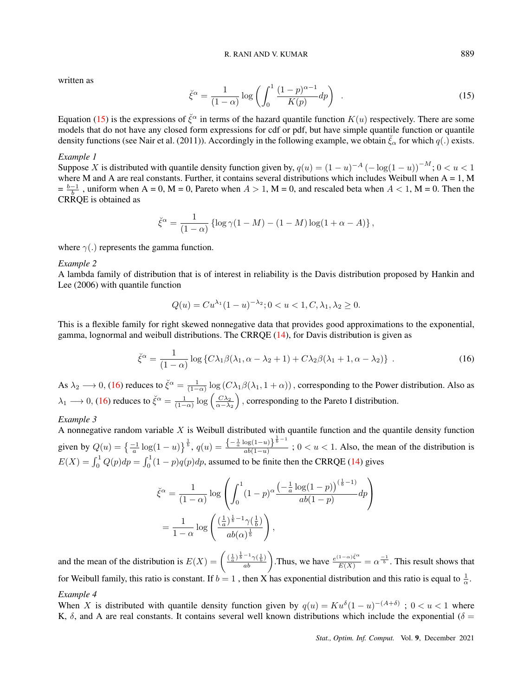written as

<span id="page-3-0"></span>
$$
\check{\xi}^{\alpha} = \frac{1}{(1-\alpha)} \log \left( \int_0^1 \frac{(1-p)^{\alpha-1}}{K(p)} dp \right) . \tag{15}
$$

Equation [\(15\)](#page-3-0) is the expressions of  $\zeta^{\alpha}$  in terms of the hazard quantile function  $K(u)$  respectively. There are some models that do not have any closed form expressions for cdf or pdf, but have simple quantile function or quantile density functions (see Nair et al. (2011)). Accordingly in the following example, we obtain  $\zeta_0$  for which  $q(.)$  exists.

## *Example 1*

Suppose X is distributed with quantile density function given by,  $q(u) = (1 - u)^{-A} \left(-\log(1 - u)\right)^{-M}$ ;  $0 < u < 1$ where M and A are real constants. Further, it contains several distributions which includes Weibull when  $A = 1$ , M  $= \frac{b-1}{b}$ , uniform when A = 0, M = 0, Pareto when  $A > 1$ , M = 0, and rescaled beta when  $A < 1$ , M = 0. Then the CRRQE is obtained as

<span id="page-3-1"></span>
$$
\check{\xi}^{\alpha} = \frac{1}{(1-\alpha)} \left\{ \log \gamma (1-M) - (1-M) \log (1+\alpha - A) \right\},\,
$$

where  $\gamma(.)$  represents the gamma function.

## *Example 2*

A lambda family of distribution that is of interest in reliability is the Davis distribution proposed by Hankin and Lee (2006) with quantile function

$$
Q(u) = Cu^{\lambda_1} (1 - u)^{-\lambda_2}; 0 < u < 1, C, \lambda_1, \lambda_2 \ge 0.
$$

This is a flexible family for right skewed nonnegative data that provides good approximations to the exponential, gamma, lognormal and weibull distributions. The CRRQE [\(14\)](#page-2-2), for Davis distribution is given as

$$
\check{\xi}^{\alpha} = \frac{1}{(1-\alpha)} \log \left\{ C\lambda_1 \beta(\lambda_1, \alpha - \lambda_2 + 1) + C\lambda_2 \beta(\lambda_1 + 1, \alpha - \lambda_2) \right\} \,. \tag{16}
$$

As  $\lambda_2 \to 0$ , [\(16\)](#page-3-1) reduces to  $\check{\xi}^{\alpha} = \frac{1}{(1-\alpha)} \log (C \lambda_1 \beta(\lambda_1, 1+\alpha))$ , corresponding to the Power distribution. Also as  $\lambda_1 \longrightarrow 0$ , [\(16\)](#page-3-1) reduces to  $\check{\xi}^{\alpha} = \frac{1}{(1-\alpha)} \log \left( \frac{C \lambda_2}{\alpha - \lambda_2} \right)$ , corresponding to the Pareto I distribution.

# *Example 3*

A nonnegative random variable  $X$  is Weibull distributed with quantile function and the quantile density function given by  $Q(u) = \left\{ \frac{-1}{a} \log(1-u) \right\}^{\frac{1}{b}}, q(u) = \frac{\left\{ -\frac{1}{a} \log(1-u) \right\}^{\frac{1}{b}-1}}{ab(1-u)}$  $\frac{\log(1-u)}{ab(1-u)}$ ; 0 < u < 1. Also, the mean of the distribution is  $E(X) = \int_0^1 Q(p) dp = \int_0^1 (1-p)q(p) dp$ , assumed to be finite then the CRRQE [\(14\)](#page-2-2) gives

$$
\check{\xi}^{\alpha} = \frac{1}{(1-\alpha)} \log \left( \int_0^1 (1-p)^{\alpha} \frac{\left(-\frac{1}{a} \log(1-p)\right)^{\left(\frac{1}{b}-1\right)}}{ab(1-p)} dp \right)
$$

$$
= \frac{1}{1-\alpha} \log \left( \frac{\left(\frac{1}{a}\right)^{\frac{1}{b}-1} \gamma\left(\frac{1}{b}\right)}{ab(\alpha)^{\frac{1}{b}}} \right),
$$

and the mean of the distribution is  $E(X) = \left(\frac{(\frac{1}{a})^{\frac{1}{b}-1}\gamma(\frac{1}{b})}{ab}\right)$ . Thus, we have  $\frac{e^{(1-\alpha)\xi^{\alpha}}}{E(X)} = \alpha^{\frac{-1}{b}}$ . This result shows that for Weibull family, this ratio is constant. If  $b = 1$ , then X has exponential distribution and this ratio is equal to  $\frac{1}{\alpha}$ .

## *Example 4*

When X is distributed with quantile density function given by  $q(u) = Ku^{\delta}(1-u)^{-(A+\delta)}$ ;  $0 < u < 1$  where K,  $\delta$ , and A are real constants. It contains several well known distributions which include the exponential ( $\delta$  =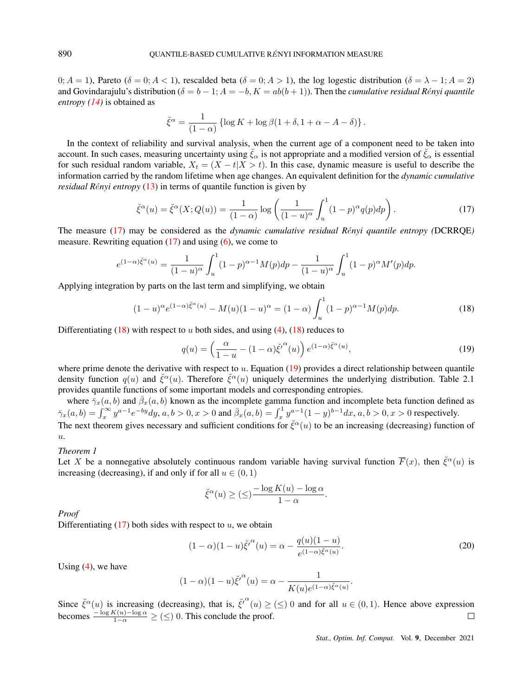$0; A = 1$ ), Pareto ( $\delta = 0; A < 1$ ), rescalded beta ( $\delta = 0; A > 1$ ), the log logestic distribution ( $\delta = \lambda - 1; A = 2$ ) and Govindarajulu's distribution ( $\delta = b - 1$ ;  $A = -b$ ,  $K = ab(b + 1)$ ). Then the *cumulative residual Rényi quantile entropy [\(14\)](#page-2-2)* is obtained as

<span id="page-4-0"></span>
$$
\check{\xi}^{\alpha} = \frac{1}{(1-\alpha)} \left\{ \log K + \log \beta (1+\delta, 1+\alpha-A-\delta) \right\}.
$$

In the context of reliability and survival analysis, when the current age of a component need to be taken into account. In such cases, measuring uncertainty using  $\zeta_\alpha$  is not appropriate and a modified version of  $\zeta_\alpha$  is essential for such residual random variable,  $X_t = (X - t | X > t)$ . In this case, dynamic measure is useful to describe the information carried by the random lifetime when age changes. An equivalent definition for the *dynamic cumulative residual Rényi entropy* [\(13\)](#page-2-3) in terms of quantile function is given by

$$
\check{\xi}^{\alpha}(u) = \check{\xi}^{\alpha}(X; Q(u)) = \frac{1}{(1-\alpha)} \log \left( \frac{1}{(1-u)^{\alpha}} \int_{u}^{1} (1-p)^{\alpha} q(p) dp \right). \tag{17}
$$

The measure [\(17\)](#page-4-0) may be considered as the *dynamic cumulative residual Rényi quantile entropy* (DCRRQE) measure. Rewriting equation  $(17)$  and using  $(6)$ , we come to

<span id="page-4-1"></span>
$$
e^{(1-\alpha)\xi^{\alpha}(u)} = \frac{1}{(1-u)^{\alpha}} \int_{u}^{1} (1-p)^{\alpha-1} M(p) dp - \frac{1}{(1-u)^{\alpha}} \int_{u}^{1} (1-p)^{\alpha} M'(p) dp.
$$

Applying integration by parts on the last term and simplifying, we obtain

$$
(1-u)^{\alpha} e^{(1-\alpha)\check{\xi}^{\alpha}(u)} - M(u)(1-u)^{\alpha} = (1-\alpha) \int_{u}^{1} (1-p)^{\alpha-1} M(p) dp.
$$
 (18)

Differentiating  $(18)$  with respect to u both sides, and using  $(4)$ ,  $(18)$  reduces to

<span id="page-4-2"></span>
$$
q(u) = \left(\frac{\alpha}{1-u} - (1-\alpha)\check{\xi'}^{\alpha}(u)\right) e^{(1-\alpha)\check{\xi}^{\alpha}(u)},\tag{19}
$$

where prime denote the derivative with respect to u. Equation  $(19)$  provides a direct relationship between quantile density function  $q(u)$  and  $\check{\xi}^{\alpha}(u)$ . Therefore  $\check{\xi}^{\alpha}(u)$  uniquely determines the underlying distribution. Table 2.1 provides quantile functions of some important models and corresponding entropies.

where  $\bar{\gamma}_x(a, b)$  and  $\bar{\beta}_x(a, b)$  known as the incomplete gamma function and incomplete beta function defined as  $\bar{\gamma}_x(a,b) = \int_x^{\infty} y^{a-1} e^{-by} dy, a, b > 0, x > 0$  and  $\bar{\beta}_x(a,b) = \int_x^1 y^{a-1} (1-y)^{b-1} dx, a, b > 0, x > 0$  respectively.

The next theorem gives necessary and sufficient conditions for  $\check{\xi}^\alpha(u)$  to be an increasing (decreasing) function of  $u_{\cdot}$ 

# *Theorem 1*

Let X be a nonnegative absolutely continuous random variable having survival function  $\overline{F}(x)$ , then  $\check{\xi}^{\alpha}(u)$  is increasing (decreasing), if and only if for all  $u \in (0, 1)$ 

<span id="page-4-4"></span>
$$
\check{\xi}^{\alpha}(u) \geq (\leq) \frac{-\log K(u) - \log \alpha}{1 - \alpha}.
$$

*Proof*

Differentiating  $(17)$  both sides with respect to u, we obtain

$$
(1 - \alpha)(1 - u)\ddot{\xi}'^{\alpha}(u) = \alpha - \frac{q(u)(1 - u)}{e^{(1 - \alpha)\ddot{\xi}^{\alpha}(u)}}.
$$
\n(20)

Using  $(4)$ , we have

<span id="page-4-3"></span>
$$
(1 - \alpha)(1 - u)\check{\xi'}^{\alpha}(u) = \alpha - \frac{1}{K(u)e^{(1 - \alpha)\check{\xi}^{\alpha}(u)}}.
$$

Since  $\check{\xi}^{\alpha}(u)$  is increasing (decreasing), that is,  $\check{\xi}^{\alpha}(u) \geq (\leq) 0$  and for all  $u \in (0,1)$ . Hence above expression becomes  $\frac{-\log K(u) - \log \alpha}{1-\alpha} \geq (\leq)$  0. This conclude the proof.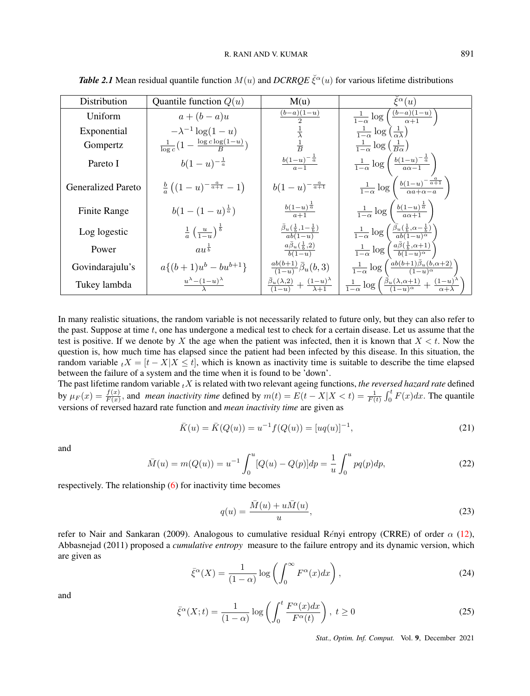| Distribution              | Quantile function $Q(u)$                                         | M(u)                                                                       | $\tilde{\xi}^{\alpha}(u)$                                                                                                |
|---------------------------|------------------------------------------------------------------|----------------------------------------------------------------------------|--------------------------------------------------------------------------------------------------------------------------|
| Uniform                   | $a+(b-a)u$                                                       | $\frac{(b-a)(1-u)}{2}$                                                     | $\frac{1}{1-\alpha} \log \left( \frac{(b-a)(1-u)}{\alpha+1} \right)$                                                     |
| Exponential               | $-\lambda^{-1} \log(1-u)$                                        |                                                                            | $\frac{1}{1-\alpha} \log \left( \frac{1}{\alpha \lambda} \right)$                                                        |
| Gompertz                  | $\frac{1}{\log c} \left( 1 - \frac{\log c \log(1-u)}{B} \right)$ | $\frac{1}{B}$                                                              | $\frac{1}{1-\alpha} \log \left( \frac{1}{B\alpha} \right)$                                                               |
| Pareto I                  | $b(1-u)^{-\frac{1}{a}}$                                          | $rac{b(1-u)^{-\frac{1}{a}}}{a-1}$                                          | $\frac{1}{1-\alpha} \log \left( \frac{b(1-u)^{-\frac{1}{\alpha}}}{a\alpha - 1} \right)$                                  |
| <b>Generalized Pareto</b> | $\frac{b}{a}((1-u)^{-\frac{a}{a+1}}-1)$                          | $b(1-u)^{-\frac{a}{a+1}}$                                                  | $\frac{1}{1-\alpha} \log \left( \frac{b(1-u)^{-\frac{a}{\alpha+1}}}{\alpha a + \alpha - a} \right)$                      |
| Finite Range              | $b(1-(1-u)^{\frac{1}{a}})$                                       | $\frac{b(1-u)^{\frac{1}{a}}}{a+1}$                                         | $\frac{1}{1-\alpha} \log \left( \frac{b(1-u)^{\frac{1}{\alpha}}}{a\alpha+1} \right)$                                     |
| Log logestic              | $\frac{1}{a} \left( \frac{u}{1-u} \right)^{\frac{1}{b}}$         | $\frac{\bar{\beta}_u(\frac{1}{b},1-\frac{1}{b})}{ab(1-u)}$                 | $\frac{1}{1-\alpha}\log\left(\frac{\bar{\beta}_u(\frac{1}{b},\alpha-\frac{1}{b})}{ab(1-u)^{\alpha}}\right)$              |
| Power                     | $au^{\frac{1}{b}}$                                               | $\frac{a\bar{\beta}_u(\frac{1}{b},2)}{b(1-u)}$                             | $\frac{1}{1-\alpha}\log\left(\frac{a\overline{\beta}(\frac{1}{b},\alpha+1)}{b(1-u)^{\alpha}}\right)$                     |
| Govindarajulu's           | $a\{(b+1)u^{b}-bu^{b+1}\}\$                                      | $\frac{ab(b+1)}{(1-u)}\bar{\beta}_u(b,3)$                                  | $\frac{1}{1-\alpha} \log \left( \frac{ab(b+1)\bar{\beta}_u(b,\alpha+2)}{(1-u)^\alpha} \right)$                           |
| Tukey lambda              | $\frac{u^{\lambda}-(1-u)^{\lambda}}{\lambda}$                    | $\frac{\bar{\beta}_u(\lambda,2)}{(1-u)}+\frac{(1-u)^{\lambda}}{\lambda+1}$ | $\frac{1}{1-\alpha}\log\left(\frac{\beta_u(\lambda,\alpha+1)}{(1-u)^\alpha}+\frac{(1-u)^\lambda}{\alpha+\lambda}\right)$ |

*Table 2.1* Mean residual quantile function  $M(u)$  and  $DCRRQE \breve{\xi}^{\alpha}(u)$  for various lifetime distributions

In many realistic situations, the random variable is not necessarily related to future only, but they can also refer to the past. Suppose at time  $t$ , one has undergone a medical test to check for a certain disease. Let us assume that the test is positive. If we denote by X the age when the patient was infected, then it is known that  $X \le t$ . Now the question is, how much time has elapsed since the patient had been infected by this disease. In this situation, the random variable  $\tau X = [t - X|X \le t]$ , which is known as inactivity time is suitable to describe the time elapsed between the failure of a system and the time when it is found to be 'down'.

The past lifetime random variable  $_tX$  is related with two relevant ageing functions, *the reversed hazard rate* defined by  $\mu_F(x) = \frac{f(x)}{F(x)}$ , and *mean inactivity time* defined by  $m(t) = E(t - X|X < t) = \frac{1}{F(t)} \int_0^t F(x) dx$ . The quantile versions of reversed hazard rate function and *mean inactivity time* are given as

$$
\bar{K}(u) = \bar{K}(Q(u)) = u^{-1} f(Q(u)) = [uq(u)]^{-1},
$$
\n(21)

and

$$
\bar{M}(u) = m(Q(u)) = u^{-1} \int_0^u [Q(u) - Q(p)] dp = \frac{1}{u} \int_0^u pq(p) dp,
$$
\n(22)

respectively. The relationship [\(6\)](#page-1-0) for inactivity time becomes

<span id="page-5-2"></span>
$$
q(u) = \frac{\bar{M}(u) + u\bar{M}(u)}{u},
$$
\n(23)

refer to Nair and Sankaran (2009). Analogous to cumulative residual Rényi entropy (CRRE) of order  $\alpha$  [\(12\)](#page-2-1), Abbasnejad (2011) proposed a *cumulative entropy* measure to the failure entropy and its dynamic version, which are given as

<span id="page-5-1"></span>
$$
\bar{\xi}^{\alpha}(X) = \frac{1}{(1-\alpha)} \log \left( \int_0^{\infty} F^{\alpha}(x) dx \right), \tag{24}
$$

and

<span id="page-5-0"></span>
$$
\bar{\xi}^{\alpha}(X;t) = \frac{1}{(1-\alpha)} \log \left( \int_0^t \frac{F^{\alpha}(x)dx}{F^{\alpha}(t)} \right), \ t \ge 0 \tag{25}
$$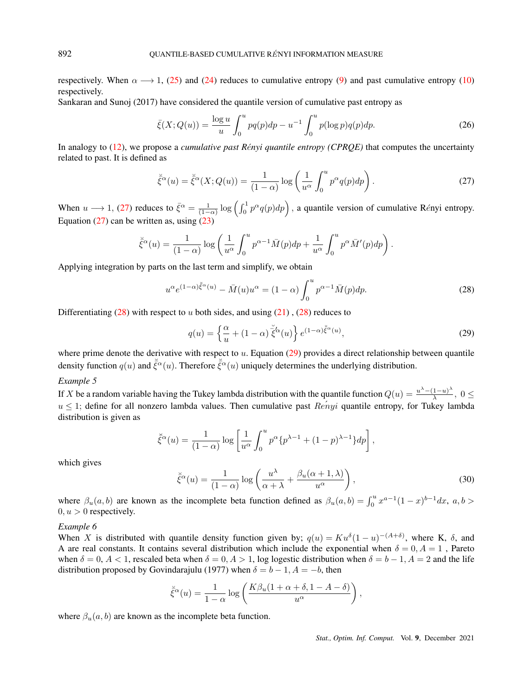respectively. When  $\alpha \rightarrow 1$ , [\(25\)](#page-5-0) and [\(24\)](#page-5-1) reduces to cumulative entropy [\(9\)](#page-1-2) and past cumulative entropy [\(10\)](#page-1-3) respectively.

Sankaran and Sunoj (2017) have considered the quantile version of cumulative past entropy as

$$
\bar{\xi}(X; Q(u)) = \frac{\log u}{u} \int_0^u pq(p)dp - u^{-1} \int_0^u p(\log p)q(p)dp.
$$
 (26)

In analogy to [\(12\)](#page-2-1), we propose a *cumulative past Rényi quantile entropy (CPRQE)* that computes the uncertainty related to past. It is defined as

<span id="page-6-0"></span>
$$
\breve{\xi}^{\alpha}(u) = \breve{\xi}^{\alpha}(X; Q(u)) = \frac{1}{(1-\alpha)} \log \left( \frac{1}{u^{\alpha}} \int_{0}^{u} p^{\alpha} q(p) dp \right). \tag{27}
$$

When  $u \rightarrow 1$ , [\(27\)](#page-6-0) reduces to  $\bar{\xi}^{\alpha} = \frac{1}{(1-\alpha)} \log \left( \int_0^1 p^{\alpha} q(p) dp \right)$ , a quantile version of cumulative Rényi entropy. Equation  $(27)$  can be written as, using  $(23)$ 

<span id="page-6-1"></span>
$$
\breve{\xi}^{\alpha}(u) = \frac{1}{(1-\alpha)} \log \left( \frac{1}{u^{\alpha}} \int_0^u p^{\alpha-1} \bar{M}(p) dp + \frac{1}{u^{\alpha}} \int_0^u p^{\alpha} \bar{M}'(p) dp \right).
$$

Applying integration by parts on the last term and simplify, we obtain

$$
u^{\alpha}e^{(1-\alpha)\check{\xi}^{\alpha}(u)} - \bar{M}(u)u^{\alpha} = (1-\alpha)\int_{0}^{u} p^{\alpha-1}\bar{M}(p)dp.
$$
 (28)

Differentiating  $(28)$  with respect to u both sides, and using  $(21)$ ,  $(28)$  reduces to

<span id="page-6-2"></span>
$$
q(u) = \left\{ \frac{\alpha}{u} + (1 - \alpha) \, \breve{\xi}^{\alpha}(u) \right\} e^{(1 - \alpha)\breve{\xi}^{\alpha}(u)},\tag{29}
$$

where prime denote the derivative with respect to  $u$ . Equation [\(29\)](#page-6-2) provides a direct relationship between quantile density function  $q(u)$  and  $\bar{\xi}^{\alpha}(u)$ . Therefore  $\bar{\xi}^{\alpha}(u)$  uniquely determines the underlying distribution.

# *Example 5*

If X be a random variable having the Tukey lambda distribution with the quantile function  $Q(u) = \frac{u^{\lambda}-(1-u)^{\lambda}}{\lambda}$  $\frac{1-u}{\lambda}$ ,  $0 \le$  $u \leq 1$ ; define for all nonzero lambda values. Then cumulative past  $\text{Re}'nyi$  quantile entropy, for Tukey lambda distribution is given as

$$
\breve{\xi}^{\alpha}(u) = \frac{1}{(1-\alpha)} \log \left[ \frac{1}{u^{\alpha}} \int_0^u p^{\alpha} \{p^{\lambda-1} + (1-p)^{\lambda-1}\} dp \right],
$$

which gives

$$
\breve{\xi}^{\alpha}(u) = \frac{1}{(1-\alpha)} \log \left( \frac{u^{\lambda}}{\alpha + \lambda} + \frac{\beta_u(\alpha+1,\lambda)}{u^{\alpha}} \right),\tag{30}
$$

where  $\beta_u(a, b)$  are known as the incomplete beta function defined as  $\beta_u(a, b) = \int_0^u x^{a-1}(1-x)^{b-1}dx$ ,  $a, b >$  $0, u > 0$  respectively.

## *Example 6*

When X is distributed with quantile density function given by;  $q(u) = Ku^{\delta}(1-u)^{-(A+\delta)}$ , where K,  $\delta$ , and A are real constants. It contains several distribution which include the exponential when  $\delta = 0, A = 1$ , Pareto when  $\delta = 0, A < 1$ , rescaled beta when  $\delta = 0, A > 1$ , log logestic distribution when  $\delta = b - 1, A = 2$  and the life distribution proposed by Govindarajulu (1977) when  $\delta = b - 1, A = -b$ , then

$$
\breve{\xi}^{\alpha}(u) = \frac{1}{1-\alpha} \log \left( \frac{K\beta_u (1+\alpha+\delta, 1-A-\delta)}{u^{\alpha}} \right),\,
$$

where  $\beta_u(a, b)$  are known as the incomplete beta function.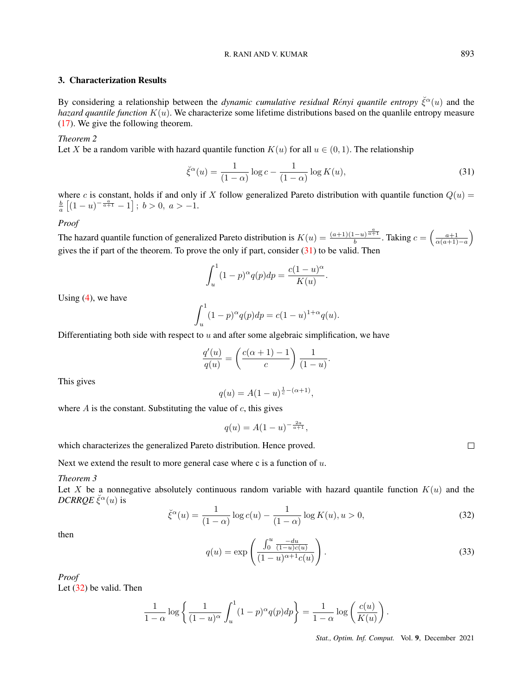# R. RANI AND V. KUMAR 893

# 3. Characterization Results

By considering a relationship between the *dynamic cumulative residual Rényi quantile entropy*  $\check{\xi}^{\alpha}(u)$  and the *hazard quantile function* K(u). We characterize some lifetime distributions based on the quanlile entropy measure [\(17\)](#page-4-0). We give the following theorem.

# *Theorem 2*

Let X be a random varible with hazard quantile function  $K(u)$  for all  $u \in (0,1)$ . The relationship

<span id="page-7-0"></span>
$$
\check{\xi}^{\alpha}(u) = \frac{1}{(1-\alpha)} \log c - \frac{1}{(1-\alpha)} \log K(u),\tag{31}
$$

where c is constant, holds if and only if X follow generalized Pareto distribution with quantile function  $Q(u)$  =  $\frac{b}{a}$   $[(1-u)^{-\frac{a}{a+1}}-1]$ ;  $b > 0$ ,  $a > -1$ .

*Proof*

The hazard quantile function of generalized Pareto distribution is  $K(u) = \frac{(a+1)(1-u)^{\frac{a}{a+1}}}{h}$  $\frac{a}{b}$  a  $\frac{a+1}{a+1}$ . Taking  $c = \left(\frac{a+1}{\alpha(a+1)-a}\right)$ gives the if part of the theorem. To prove the only if part, consider  $(31)$  to be valid. Then

<span id="page-7-1"></span>
$$
\int_u^1 (1-p)^{\alpha} q(p) dp = \frac{c(1-u)^{\alpha}}{K(u)}.
$$

Using  $(4)$ , we have

$$
\int_{u}^{1} (1-p)^{\alpha} q(p) dp = c(1-u)^{1+\alpha} q(u).
$$

Differentiating both side with respect to  $u$  and after some algebraic simplification, we have

$$
\frac{q'(u)}{q(u)} = \left(\frac{c(\alpha+1)-1}{c}\right) \frac{1}{(1-u)}.
$$

This gives

$$
q(u) = A(1 - u)^{\frac{1}{c} - (\alpha + 1)},
$$

where  $A$  is the constant. Substituting the value of  $c$ , this gives

$$
q(u) = A(1 - u)^{-\frac{2a}{a+1}},
$$

which characterizes the generalized Pareto distribution. Hence proved.

Next we extend the result to more general case where c is a function of  $u$ .

*Theorem 3*

Let X be a nonnegative absolutely continuous random variable with hazard quantile function  $K(u)$  and the  $DCRRQE \breve{\xi}^{\alpha}(u)$  is

$$
\check{\xi}^{\alpha}(u) = \frac{1}{(1-\alpha)} \log c(u) - \frac{1}{(1-\alpha)} \log K(u), u > 0,
$$
\n(32)

then

$$
q(u) = \exp\left(\frac{\int_0^u \frac{-du}{(1-u)c(u)}}{(1-u)^{\alpha+1}c(u)}\right).
$$
 (33)

*Proof*

Let [\(32\)](#page-7-1) be valid. Then

<span id="page-7-2"></span>
$$
\frac{1}{1-\alpha}\log\left\{\frac{1}{(1-u)^{\alpha}}\int_{u}^{1}(1-p)^{\alpha}q(p)dp\right\} = \frac{1}{1-\alpha}\log\left(\frac{c(u)}{K(u)}\right).
$$

*Stat., Optim. Inf. Comput.* Vol. 9, December 2021

 $\Box$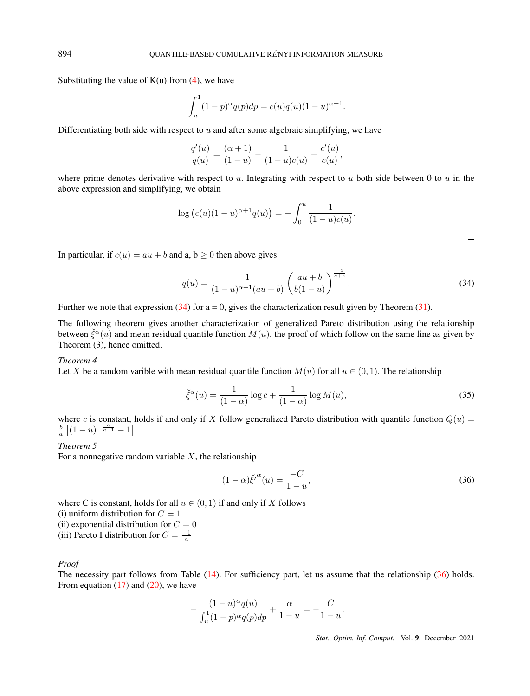Substituting the value of  $K(u)$  from  $(4)$ , we have

$$
\int_{u}^{1} (1-p)^{\alpha} q(p) dp = c(u)q(u)(1-u)^{\alpha+1}
$$

Differentiating both side with respect to  $u$  and after some algebraic simplifying, we have

$$
\frac{q'(u)}{q(u)} = \frac{(\alpha+1)}{(1-u)} - \frac{1}{(1-u)c(u)} - \frac{c'(u)}{c(u)},
$$

where prime denotes derivative with respect to  $u$ . Integrating with respect to  $u$  both side between 0 to  $u$  in the above expression and simplifying, we obtain

$$
\log (c(u)(1-u)^{\alpha+1}q(u)) = -\int_0^u \frac{1}{(1-u)c(u)}.
$$

.

In particular, if  $c(u) = au + b$  and a,  $b > 0$  then above gives

$$
q(u) = \frac{1}{(1-u)^{\alpha+1}(au+b)} \left(\frac{au+b}{b(1-u)}\right)^{\frac{-1}{a+b}}.
$$
\n(34)

Further we note that expression  $(34)$  for a = 0, gives the characterization result given by Theorem  $(31)$ .

The following theorem gives another characterization of generalized Pareto distribution using the relationship between  $\check{\xi}^{\alpha}(u)$  and mean residual quantile function  $M(u)$ , the proof of which follow on the same line as given by Theorem (3), hence omitted.

## *Theorem 4*

Let X be a random varible with mean residual quantile function  $M(u)$  for all  $u \in (0,1)$ . The relationship

$$
\check{\xi}^{\alpha}(u) = \frac{1}{(1-\alpha)} \log c + \frac{1}{(1-\alpha)} \log M(u),\tag{35}
$$

where c is constant, holds if and only if X follow generalized Pareto distribution with quantile function  $Q(u)$  =  $\frac{b}{a} \left[ (1-u)^{-\frac{a}{a+1}} - 1 \right].$ 

## *Theorem 5*

For a nonnegative random variable  $X$ , the relationship

<span id="page-8-0"></span>
$$
(1 - \alpha)\check{\xi'}^{\alpha}(u) = \frac{-C}{1 - u},\tag{36}
$$

where C is constant, holds for all  $u \in (0, 1)$  if and only if X follows (i) uniform distribution for  $C = 1$ 

(ii) exponential distribution for  $C = 0$ (iii) Pareto I distribution for  $C$  =  $-1$ 

(iii) Pareto I distribution for 
$$
C = \frac{1}{a}
$$

#### *Proof*

The necessity part follows from Table [\(14\)](#page-2-2). For sufficiency part, let us assume that the relationship [\(36\)](#page-8-0) holds. From equation  $(17)$  and  $(20)$ , we have

<span id="page-8-1"></span>
$$
-\frac{(1-u)^{\alpha}q(u)}{\int_u^1 (1-p)^{\alpha}q(p)dp} + \frac{\alpha}{1-u} = -\frac{C}{1-u}.
$$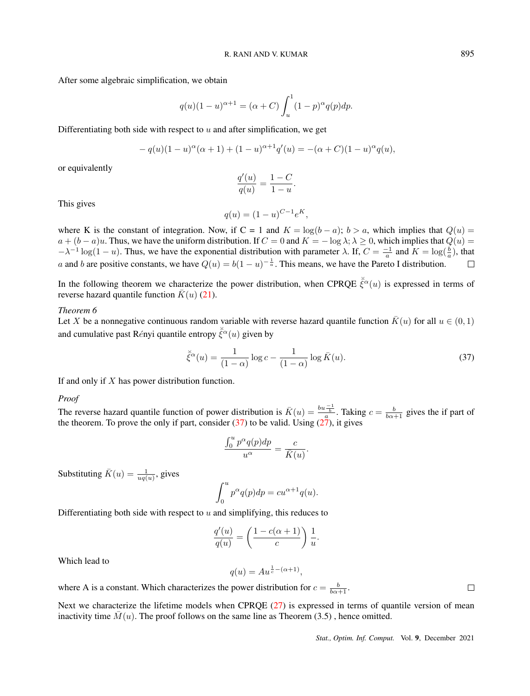After some algebraic simplification, we obtain

$$
q(u)(1-u)^{\alpha+1} = (\alpha + C) \int_{u}^{1} (1-p)^{\alpha} q(p) dp.
$$

Differentiating both side with respect to  $u$  and after simplification, we get

$$
- q(u)(1 - u)^{\alpha}(\alpha + 1) + (1 - u)^{\alpha + 1}q'(u) = -(\alpha + C)(1 - u)^{\alpha}q(u),
$$

or equivalently

$$
\frac{q'(u)}{q(u)} = \frac{1-C}{1-u}.
$$

This gives

$$
q(u) = (1 - u)^{C - 1} e^{K},
$$

where K is the constant of integration. Now, if C = 1 and K = log(b – a); b > a, which implies that  $Q(u)$  =  $a + (b - a)u$ . Thus, we have the uniform distribution. If  $C = 0$  and  $K = -\log \lambda$ ;  $\lambda \ge 0$ , which implies that  $Q(u) =$  $-\lambda^{-1} \log(1-u)$ . Thus, we have the exponential distribution with parameter  $\lambda$ . If,  $C = \frac{-1}{a}$  and  $K = \log(\frac{b}{a})$ , that a and b are positive constants, we have  $Q(u) = b(1-u)^{-\frac{1}{a}}$ . This means, we have the Pareto I distribution.  $\Box$ 

In the following theorem we characterize the power distribution, when CPRQE  $\bar{\xi}^{\alpha}(u)$  is expressed in terms of reverse hazard quantile function  $\bar{K}(u)$  [\(21\)](#page-4-3).

#### *Theorem 6*

Let X be a nonnegative continuous random variable with reverse hazard quantile function  $\bar{K}(u)$  for all  $u \in (0,1)$ and cumulative past Rényi quantile entropy  $\bar{\xi}^{\alpha}(u)$  given by

$$
\breve{\xi}^{\alpha}(u) = \frac{1}{(1-\alpha)} \log c - \frac{1}{(1-\alpha)} \log \bar{K}(u). \tag{37}
$$

If and only if  $X$  has power distribution function.

#### *Proof*

The reverse hazard quantile function of power distribution is  $\bar{K}(u) = \frac{bu - \frac{1}{b}}{a}$ . Taking  $c = \frac{b}{b\alpha + 1}$  gives the if part of the theorem. To prove the only if part, consider  $(37)$  to be valid. Using  $(27)$ , it gives

$$
\frac{\int_0^u p^{\alpha} q(p) dp}{u^{\alpha}} = \frac{c}{\bar{K}(u)}.
$$

Substituting  $\bar{K}(u) = \frac{1}{uq(u)},$  gives

$$
\int_0^u p^{\alpha} q(p) dp = cu^{\alpha+1} q(u).
$$

Differentiating both side with respect to  $u$  and simplifying, this reduces to

$$
\frac{q'(u)}{q(u)} = \left(\frac{1 - c(\alpha + 1)}{c}\right) \frac{1}{u}.
$$

Which lead to

$$
q(u) = Au^{\frac{1}{c} - (\alpha + 1)},
$$

where A is a constant. Which characterizes the power distribution for  $c = \frac{b}{b\alpha+1}$ .

Next we characterize the lifetime models when CPRQE [\(27\)](#page-6-0) is expressed in terms of quantile version of mean inactivity time  $M(u)$ . The proof follows on the same line as Theorem (3.5), hence omitted.

 $\Box$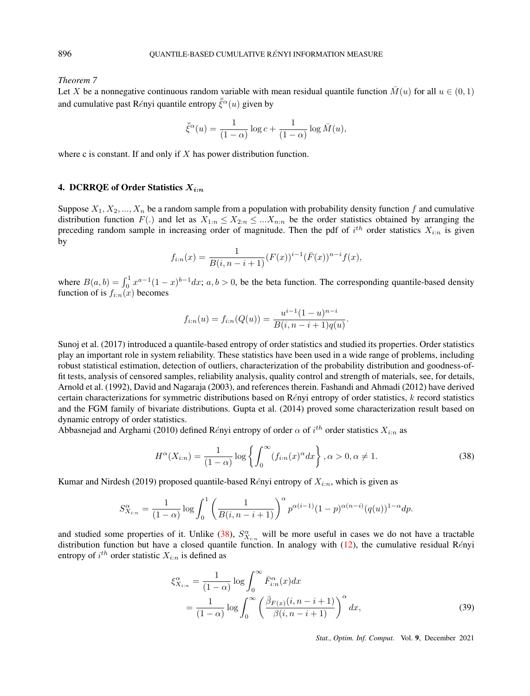*Theorem 7*

Let X be a nonnegative continuous random variable with mean residual quantile function  $\bar{M}(u)$  for all  $u \in (0,1)$ and cumulative past Rényi quantile entropy  $\bar{\xi}^{\alpha}(u)$  given by

$$
\breve{\bar{\xi}}^{\alpha}(u)=\frac{1}{(1-\alpha)}\log c+\frac{1}{(1-\alpha)}\log \bar{M}(u),
$$

where c is constant. If and only if  $X$  has power distribution function.

# 4. DCRRQE of Order Statistics  $X_{i:n}$

Suppose  $X_1, X_2, ..., X_n$  be a random sample from a population with probability density function f and cumulative distribution function  $F(.)$  and let as  $X_{1:n} \leq X_{2:n} \leq ... X_{n:n}$  be the order statistics obtained by arranging the preceding random sample in increasing order of magnitude. Then the pdf of  $i^{th}$  order statistics  $X_{i:n}$  is given by

<span id="page-10-0"></span>
$$
f_{i:n}(x) = \frac{1}{B(i, n-i+1)} (F(x))^{i-1} (\bar{F}(x))^{n-i} f(x),
$$

where  $B(a, b) = \int_0^1 x^{a-1}(1-x)^{b-1}dx$ ;  $a, b > 0$ , be the beta function. The corresponding quantile-based density function of is  $f_{i:n}(x)$  becomes

$$
f_{i:n}(u) = f_{i:n}(Q(u)) = \frac{u^{i-1}(1-u)^{n-i}}{B(i, n-i+1)q(u)}.
$$

Sunoj et al. (2017) introduced a quantile-based entropy of order statistics and studied its properties. Order statistics play an important role in system reliability. These statistics have been used in a wide range of problems, including robust statistical estimation, detection of outliers, characterization of the probability distribution and goodness-offit tests, analysis of censored samples, reliability analysis, quality control and strength of materials, see, for details, Arnold et al. (1992), David and Nagaraja (2003), and references therein. Fashandi and Ahmadi (2012) have derived certain characterizations for symmetric distributions based on Rényi entropy of order statistics,  $k$  record statistics and the FGM family of bivariate distributions. Gupta et al. (2014) proved some characterization result based on dynamic entropy of order statistics.

Abbasnejad and Arghami (2010) defined Rényi entropy of order  $\alpha$  of  $i^{th}$  order statistics  $X_{i:n}$  as

$$
H^{\alpha}(X_{i:n}) = \frac{1}{(1-\alpha)} \log \left\{ \int_0^{\infty} (f_{i:n}(x)^{\alpha} dx) \right\}, \alpha > 0, \alpha \neq 1.
$$
 (38)

Kumar and Nirdesh (2019) proposed quantile-based Rényi entropy of  $X_{i:n}$ , which is given as

<span id="page-10-1"></span>
$$
S_{X_{i:n}}^{\alpha} = \frac{1}{(1-\alpha)} \log \int_0^1 \left( \frac{1}{B(i, n-i+1)} \right)^{\alpha} p^{\alpha(i-1)} (1-p)^{\alpha(n-i)} (q(u))^{1-\alpha} dp.
$$

and studied some properties of it. Unlike [\(38\)](#page-10-0),  $S_{X_{i:n}}^{\alpha}$  will be more useful in cases we do not have a tractable distribution function but have a closed quantile function. In analogy with  $(12)$ , the cumulative residual Rényi entropy of  $i^{th}$  order statistic  $X_{i:n}$  is defined as

$$
\xi_{X_{i:n}}^{\alpha} = \frac{1}{(1-\alpha)} \log \int_0^{\infty} \bar{F}_{i:n}^{\alpha}(x) dx
$$
  
= 
$$
\frac{1}{(1-\alpha)} \log \int_0^{\infty} \left( \frac{\bar{\beta}_{F(x)}(i, n-i+1)}{\beta(i, n-i+1)} \right)^{\alpha} dx,
$$
 (39)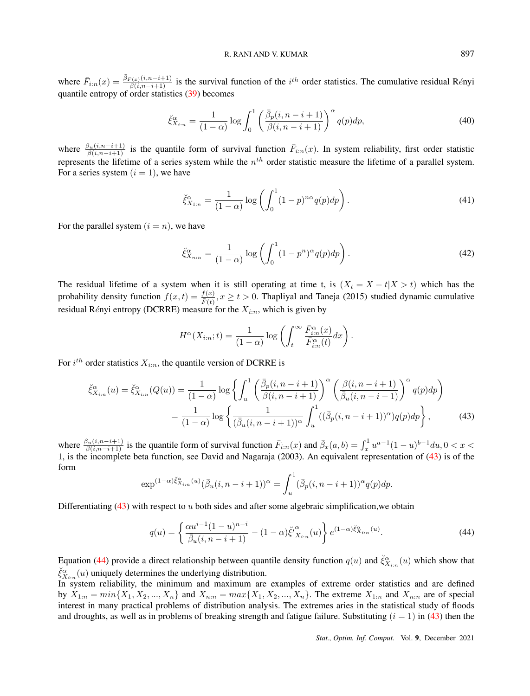# R. RANI AND V. KUMAR 897

where  $\bar{F}_{i:n}(x) = \frac{\bar{\beta}_{F(x)}(i,n-i+1)}{\beta(i,n-i+1)}$  is the survival function of the  $i^{th}$  order statistics. The cumulative residual Rényi quantile entropy of order statistics [\(39\)](#page-10-1) becomes

$$
\check{\xi}_{X_{i:n}}^{\alpha} = \frac{1}{(1-\alpha)} \log \int_0^1 \left( \frac{\bar{\beta}_p(i, n-i+1)}{\beta(i, n-i+1)} \right)^{\alpha} q(p) dp, \tag{40}
$$

where  $\frac{\beta_u(i,n-i+1)}{\beta(i,n-i+1)}$  is the quantile form of survival function  $\bar{F}_{i,n}(x)$ . In system reliability, first order statistic represents the lifetime of a series system while the  $n<sup>th</sup>$  order statistic measure the lifetime of a parallel system. For a series system  $(i = 1)$ , we have

$$
\check{\xi}_{X_{1:n}}^{\alpha} = \frac{1}{(1-\alpha)} \log \left( \int_0^1 (1-p)^{n\alpha} q(p) dp \right). \tag{41}
$$

For the parallel system  $(i = n)$ , we have

$$
\check{\xi}_{X_{n:n}}^{\alpha} = \frac{1}{(1-\alpha)} \log \left( \int_0^1 (1-p^n)^{\alpha} q(p) dp \right). \tag{42}
$$

The residual lifetime of a system when it is still operating at time t, is  $(X_t = X - t | X > t)$  which has the probability density function  $f(x,t) = \frac{f(x)}{\bar{F}(t)}$ ,  $x \ge t > 0$ . Thapliyal and Taneja (2015) studied dynamic cumulative residual Rényi entropy (DCRRE) measure for the  $X_{i:n}$ , which is given by

<span id="page-11-0"></span>
$$
H^{\alpha}(X_{i:n};t) = \frac{1}{(1-\alpha)} \log \left( \int_{t}^{\infty} \frac{\bar{F}_{i:n}^{\alpha}(x)}{\bar{F}_{i:n}^{\alpha}(t)} dx \right).
$$

For  $i^{th}$  order statistics  $X_{i:n}$ , the quantile version of DCRRE is

$$
\check{\xi}_{X_{i:n}}^{\alpha}(u) = \check{\xi}_{X_{i:n}}^{\alpha}(Q(u)) = \frac{1}{(1-\alpha)} \log \left\{ \int_u^1 \left( \frac{\bar{\beta}_p(i, n-i+1)}{\beta(i, n-i+1)} \right)^{\alpha} \left( \frac{\beta(i, n-i+1)}{\bar{\beta}_u(i, n-i+1)} \right)^{\alpha} q(p) dp \right\}
$$

$$
= \frac{1}{(1-\alpha)} \log \left\{ \frac{1}{(\bar{\beta}_u(i, n-i+1))^{\alpha}} \int_u^1 ((\bar{\beta}_p(i, n-i+1))^{\alpha}) q(p) dp \right\}, \tag{43}
$$

where  $\frac{\beta_u(i, n-i+1)}{\beta(i, n-i+1)}$  is the quantile form of survival function  $\bar{F}_{i:n}(x)$  and  $\bar{\beta}_x(a, b) = \int_x^1 u^{a-1}(1-u)^{b-1}du, 0 < x <$ 1, is the incomplete beta function, see David and Nagaraja (2003). An equivalent representation of [\(43\)](#page-11-0) is of the form

<span id="page-11-1"></span>
$$
\exp^{(1-\alpha)\check{\xi}_{\mathcal{X}_{i:n}}^{\alpha}(u)}(\bar{\beta}_u(i,n-i+1))^{\alpha} = \int_u^1(\bar{\beta}_p(i,n-i+1))^{\alpha}q(p)dp.
$$

Differentiating  $(43)$  with respect to u both sides and after some algebraic simplification, we obtain

$$
q(u) = \left\{ \frac{\alpha u^{i-1} (1-u)^{n-i}}{\bar{\beta}_u (i, n-i+1)} - (1-\alpha) \breve{\xi}'^{\alpha}_{X_{i:n}}(u) \right\} e^{(1-\alpha) \breve{\xi}^{\alpha}_{X_{i:n}}(u)}.
$$
 (44)

Equation [\(44\)](#page-11-1) provide a direct relationship between quantile density function  $q(u)$  and  $\check{\xi}_{X_{i:n}}^{\alpha}(u)$  which show that  $\breve{\xi}_{X_{i:n}}^{\alpha}(u)$  uniquely determines the underlying distribution.

In system reliability, the minimum and maximum are examples of extreme order statistics and are defined by  $X_{1:n} = min\{X_1, X_2, ..., X_n\}$  and  $X_{n:n} = max\{X_1, X_2, ..., X_n\}$ . The extreme  $X_{1:n}$  and  $X_{n:n}$  are of special interest in many practical problems of distribution analysis. The extremes aries in the statistical study of floods and droughts, as well as in problems of breaking strength and fatigue failure. Substituting  $(i = 1)$  in [\(43\)](#page-11-0) then the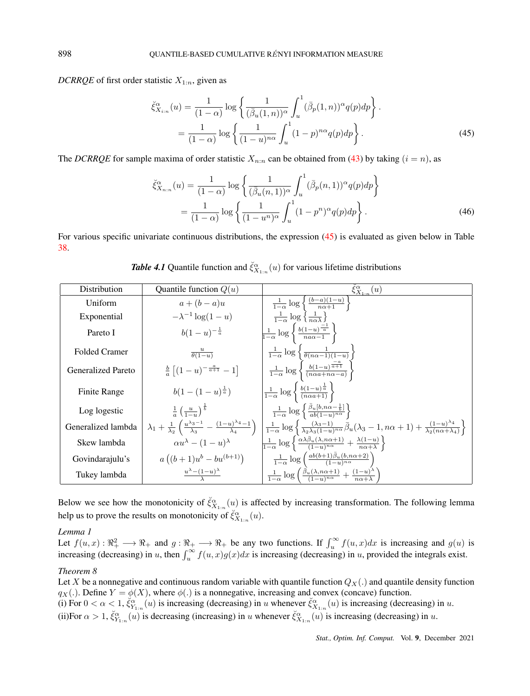*DCRRQE* of first order statistic  $X_{1:n}$ , given as

<span id="page-12-0"></span>
$$
\check{\xi}_{X_{i:n}}^{\alpha}(u) = \frac{1}{(1-\alpha)} \log \left\{ \frac{1}{(\bar{\beta}_u(1,n))^{\alpha}} \int_u^1 (\bar{\beta}_p(1,n))^{\alpha} q(p) dp \right\}.
$$

$$
= \frac{1}{(1-\alpha)} \log \left\{ \frac{1}{(1-u)^{n\alpha}} \int_u^1 (1-p)^{n\alpha} q(p) dp \right\}.
$$
(45)

The *DCRRQE* for sample maxima of order statistic  $X_{n:n}$  can be obtained from [\(43\)](#page-11-0) by taking  $(i = n)$ , as

$$
\check{\xi}_{X_{n:n}}^{\alpha}(u) = \frac{1}{(1-\alpha)} \log \left\{ \frac{1}{(\bar{\beta}_u(n,1))^{\alpha}} \int_u^1 (\bar{\beta}_p(n,1))^{\alpha} q(p) dp \right\}
$$

$$
= \frac{1}{(1-\alpha)} \log \left\{ \frac{1}{(1-u^n)^{\alpha}} \int_u^1 (1-p^n)^{\alpha} q(p) dp \right\}.
$$
(46)

For various specific univariate continuous distributions, the expression [\(45\)](#page-12-0) is evaluated as given below in Table [38.](#page-10-0)

| Distribution         | Quantile function $Q(u)$                               | $\xi_{X_{1:n}}^{\alpha}(u)$                                                                                                                                                                                                                                                                                                                                                       |
|----------------------|--------------------------------------------------------|-----------------------------------------------------------------------------------------------------------------------------------------------------------------------------------------------------------------------------------------------------------------------------------------------------------------------------------------------------------------------------------|
| Uniform              | $a+(b-a)u$                                             | $\frac{1}{1-\alpha} \log \left\{ \frac{(b-a)(1-u)}{n\alpha+1} \right\}$                                                                                                                                                                                                                                                                                                           |
| Exponential          | $-\lambda^{-1} \log(1-u)$                              | $\frac{1}{1-\alpha} \log \left\{\frac{1}{n\alpha\lambda}\right\}$                                                                                                                                                                                                                                                                                                                 |
| Pareto I             | $b(1-u)^{-\frac{1}{a}}$                                | $\frac{1}{1-\alpha} \log \left\{ \frac{b(1-u)^{\frac{-1}{\alpha}}}{na\alpha-1} \right\}$                                                                                                                                                                                                                                                                                          |
| <b>Folded Cramer</b> | $\frac{u}{\theta(1-u)}$                                | $\frac{1}{1-\alpha} \log \left\{ \frac{1}{\theta(n\alpha-1)(1-u)} \right\}$                                                                                                                                                                                                                                                                                                       |
| Generalized Pareto   | $\frac{b}{a}\left[ (1-u)^{-\frac{a}{a+1}} - 1 \right]$ | $\frac{1}{1-\alpha}\log\left\{\frac{b(1-u)^{\frac{-\alpha}{\alpha+1}}}{(n\alpha a+n\alpha-a)}\right\}$                                                                                                                                                                                                                                                                            |
| Finite Range         | $b(1-(1-u)^{\frac{1}{a}})$                             | $\left \frac{1}{1-\alpha}\log\left\{\frac{b(1-u)^{\frac{1}{a}}}{(n\alpha a+1)}\right\}\right $                                                                                                                                                                                                                                                                                    |
| Log logestic         | $\frac{1}{a} \left( \frac{u}{1} \right)^{\frac{1}{b}}$ | $\frac{1}{1-\alpha}\log\left\{\frac{\bar{\beta}_u[b,n\alpha-\frac{1}{b}]}{ab(1-u)^{n\alpha}}\right\}$                                                                                                                                                                                                                                                                             |
| Generalized lambda   |                                                        | $\lambda_1 + \frac{1}{\lambda_2} \left( \frac{u^{\lambda_3 - 1}}{\lambda_3} - \frac{(1 - u)^{\lambda_4 - 1}}{\lambda_4} \right) \left. \left. \frac{1}{1 - \alpha} \log \left\{ \frac{(\lambda_3 - 1)}{\lambda_2 \lambda_3 (1 - u)^{n \alpha}} \overline{\beta}_u (\lambda_3 - 1, n \alpha + 1) + \frac{(1 - u)^{\lambda_4}}{\lambda_2 (n \alpha + \lambda_4)} \right\} \right\}$ |
| Skew lambda          | $\alpha u^{\lambda} - (1-u)^{\lambda}$                 | $\frac{1}{1-\alpha}\log\left\{\frac{\alpha\lambda\beta_u(\lambda,n\alpha+1)}{(1-u)^{n\alpha}}+\frac{\lambda(1-u)}{n\alpha+\lambda}\right\}$                                                                                                                                                                                                                                       |
| Govindarajulu's      | $a((b+1)u^{b}-bu^{(b+1)})$                             | $\frac{1}{1-\alpha} \log \left( \frac{ab(b+1)\overline{\beta}_u(b,n\alpha+2)}{(1-u)^{n\alpha}} \right)$                                                                                                                                                                                                                                                                           |
| Tukey lambda         | $\frac{u^{\lambda}-(1-u)^{\lambda}}{\lambda}$          | $\frac{1}{1-\alpha} \log \left( \frac{\bar{\beta}_u (\lambda, n\alpha+1)}{(1-u)^{n\alpha}} + \frac{(1-u)^{\lambda}}{n\alpha+\lambda} \right)$                                                                                                                                                                                                                                     |

Below we see how the monotonicity of  $\check{\xi}_{X_{1:n}}^{\alpha}(u)$  is affected by increasing transformation. The following lemma help us to prove the results on monotonicity of  $\check{\xi}_{X_{1:n}}^{\alpha}(u)$ .

### *Lemma 1*

Let  $f(u, x) : \mathbb{R}_+^2 \longrightarrow \mathbb{R}_+$  and  $g: \mathbb{R}_+ \longrightarrow \mathbb{R}_+$  be any two functions. If  $\int_u^{\infty} f(u, x) dx$  is increasing and  $g(u)$  is increasing (decreasing) in u, then  $\int_u^{\infty} f(u, x)g(x)dx$  is increasing (decreasing) in u, provided the integrals exist.

# *Theorem 8*

Let X be a nonnegative and continuous random variable with quantile function  $Q_X(.)$  and quantile density function  $q_X(.)$ . Define  $Y = \phi(X)$ , where  $\phi(.)$  is a nonnegative, increasing and convex (concave) function. (i) For  $0 < \alpha < 1$ ,  $\zeta_{Y_{1:n}}^{\alpha}(u)$  is increasing (decreasing) in u whenever  $\zeta_{X_{1:n}}^{\alpha}(u)$  is increasing (decreasing) in u. (ii)For  $\alpha > 1$ ,  $\breve{\xi}_{Y_{1:n}}^{\alpha}(u)$  is decreasing (increasing) in u whenever  $\breve{\xi}_{X_{1:n}}^{\alpha}(u)$  is increasing (decreasing) in u.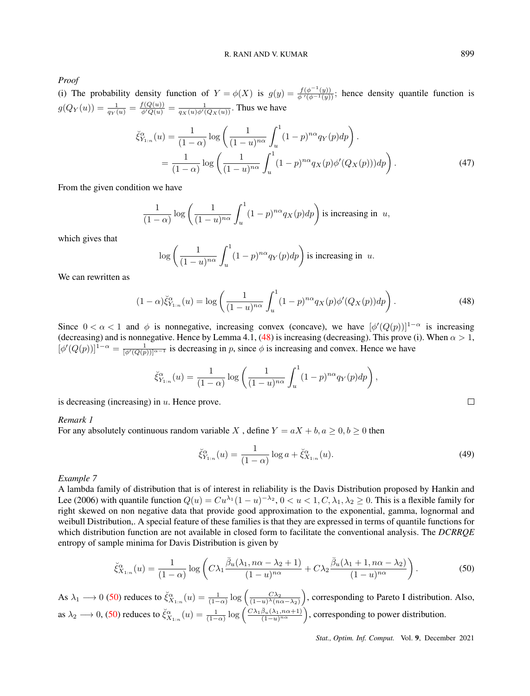*Proof*

(i) The probability density function of  $Y = \phi(X)$  is  $g(y) = \frac{f(\phi^{-1}(y))}{\phi'(\phi^{-1}(y))}$ ; hence density quantile function is  $g(Q_Y(u)) = \frac{1}{q_Y(u)} = \frac{f(Q(u))}{\phi'(Q(u))} = \frac{1}{q_X(u)\phi'(Q_X(u))}$ . Thus we have

$$
\check{\xi}_{Y_{1:n}}^{\alpha}(u) = \frac{1}{(1-\alpha)} \log \left( \frac{1}{(1-u)^{n\alpha}} \int_{u}^{1} (1-p)^{n\alpha} q_Y(p) dp \right).
$$
  
= 
$$
\frac{1}{(1-\alpha)} \log \left( \frac{1}{(1-u)^{n\alpha}} \int_{u}^{1} (1-p)^{n\alpha} q_X(p) \phi'(Q_X(p))) dp \right).
$$
(47)

From the given condition we have

<span id="page-13-0"></span>
$$
\frac{1}{(1-\alpha)}\log\left(\frac{1}{(1-u)^{n\alpha}}\int_u^1(1-p)^{n\alpha}q_X(p)dp\right)
$$
 is increasing in  $u$ ,

which gives that

$$
\log\left(\frac{1}{(1-u)^{n\alpha}}\int_u^1 (1-p)^{n\alpha}q_Y(p)dp\right)
$$
 is increasing in  $u$ .

We can rewritten as

$$
(1 - \alpha)\check{\xi}_{Y_{1:n}}^{\alpha}(u) = \log\left(\frac{1}{(1 - u)^{n\alpha}} \int_u^1 (1 - p)^{n\alpha} q_X(p) \phi'(Q_X(p)) dp\right).
$$
 (48)

Since  $0 < \alpha < 1$  and  $\phi$  is nonnegative, increasing convex (concave), we have  $[\phi'(Q(p))]^{1-\alpha}$  is increasing (decreasing) and is nonnegative. Hence by Lemma 4.1, [\(48\)](#page-13-0) is increasing (decreasing). This prove (i). When  $\alpha > 1$ ,  $[\phi'(Q(p))]^{1-\alpha} = \frac{1}{[\phi'(Q(p))]^{\alpha-1}}$  is decreasing in p, since  $\phi$  is increasing and convex. Hence we have

$$
\check{\xi}_{Y_{1:n}}^{\alpha}(u) = \frac{1}{(1-\alpha)} \log \left( \frac{1}{(1-u)^{n\alpha}} \int_u^1 (1-p)^{n\alpha} q_Y(p) dp \right),
$$

is decreasing (increasing) in  $u$ . Hence prove.

*Remark 1*

For any absolutely continuous random variable X, define  $Y = aX + b, a \ge 0, b \ge 0$  then

$$
\breve{\xi}_{Y_{1:n}}^{\alpha}(u) = \frac{1}{(1-\alpha)} \log a + \breve{\xi}_{X_{1:n}}^{\alpha}(u). \tag{49}
$$

*Example 7*

A lambda family of distribution that is of interest in reliability is the Davis Distribution proposed by Hankin and Lee (2006) with quantile function  $Q(u) = Cu^{\lambda_1}(1-u)^{-\lambda_2}$ ,  $0 < u < 1$ ,  $C, \lambda_1, \lambda_2 \ge 0$ . This is a flexible family for right skewed on non negative data that provide good approximation to the exponential, gamma, lognormal and weibull Distribution,. A special feature of these families is that they are expressed in terms of quantile functions for which distribution function are not available in closed form to facilitate the conventional analysis. The *DCRRQE* entropy of sample minima for Davis Distribution is given by

<span id="page-13-1"></span>
$$
\check{\xi}_{X_{1:n}}^{\alpha}(u) = \frac{1}{(1-\alpha)} \log \left( C\lambda_1 \frac{\bar{\beta}_u(\lambda_1, n\alpha - \lambda_2 + 1)}{(1-u)^{n\alpha}} + C\lambda_2 \frac{\bar{\beta}_u(\lambda_1 + 1, n\alpha - \lambda_2)}{(1-u)^{n\alpha}} \right).
$$
(50)

As  $\lambda_1 \longrightarrow 0$  [\(50\)](#page-13-1) reduces to  $\check{\xi}_{X_{1:n}}^{\alpha}(u) = \frac{1}{(1-\alpha)} \log \left( \frac{C\lambda_2}{(1-u)^{\lambda} (n\alpha - \lambda_2)} \right)$ , corresponding to Pareto I distribution. Also, as  $\lambda_2 \longrightarrow 0$ , [\(50\)](#page-13-1) reduces to  $\check{\xi}_{X_{1:n}}^{\alpha}(u) = \frac{1}{(1-\alpha)} \log \left( \frac{C \lambda_1 \bar{\beta}_u (\lambda_1, n\alpha+1)}{(1-u)^{n\alpha}} \right)$ , corresponding to power distribution.

*Stat., Optim. Inf. Comput.* Vol. 9, December 2021

<span id="page-13-2"></span> $\Box$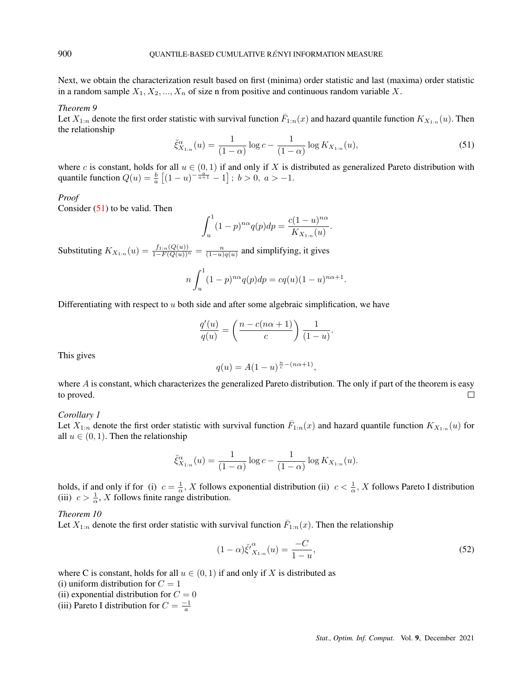Next, we obtain the characterization result based on first (minima) order statistic and last (maxima) order statistic in a random sample  $X_1, X_2, ..., X_n$  of size n from positive and continuous random variable X.

#### *Theorem 9*

Let  $X_{1:n}$  denote the first order statistic with survival function  $\bar{F}_{1:n}(x)$  and hazard quantile function  $K_{X_{1:n}}(u)$ . Then the relationship

<span id="page-14-0"></span>
$$
\check{\xi}_{X_{1:n}}^{\alpha}(u) = \frac{1}{(1-\alpha)} \log c - \frac{1}{(1-\alpha)} \log K_{X_{1:n}}(u),\tag{51}
$$

where c is constant, holds for all  $u \in (0, 1)$  if and only if X is distributed as generalized Pareto distribution with quantile function  $Q(u) = \frac{b}{a} \left[ (1 - u)^{-\frac{a}{a+1}} - 1 \right]$ ;  $b > 0$ ,  $a > -1$ .

#### *Proof*

Consider [\(51\)](#page-14-0) to be valid. Then

<span id="page-14-1"></span>
$$
\int_{u}^{1} (1-p)^{n\alpha} q(p) dp = \frac{c(1-u)^{n\alpha}}{K_{X_{1:n}}(u)}.
$$

Substituting  $K_{X_{1:n}}(u) = \frac{f_{1:n}(Q(u))}{1 - F(Q(u))^{n}} = \frac{n}{(1-u)q(u)}$  and simplifying, it gives

$$
n\int_{u}^{1} (1-p)^{n\alpha} q(p) dp = cq(u)(1-u)^{n\alpha+1}.
$$

Differentiating with respect to  $u$  both side and after some algebraic simplification, we have

$$
\frac{q'(u)}{q(u)} = \left(\frac{n - c(n\alpha + 1)}{c}\right) \frac{1}{(1 - u)}.
$$

This gives

$$
q(u) = A(1-u)^{\frac{n}{c}-(n\alpha+1)},
$$

where  $A$  is constant, which characterizes the generalized Pareto distribution. The only if part of the theorem is easy to proved.  $\Box$ 

## *Corollary 1*

Let  $X_{1:n}$  denote the first order statistic with survival function  $\bar{F}_{1:n}(x)$  and hazard quantile function  $K_{X_{1:n}}(u)$  for all  $u \in (0, 1)$ . Then the relationship

$$
\breve{\xi}_{X_{1:n}}^{\alpha}(u) = \frac{1}{(1-\alpha)} \log c - \frac{1}{(1-\alpha)} \log K_{X_{1:n}}(u).
$$

holds, if and only if for (i)  $c = \frac{1}{\alpha}$ , X follows exponential distribution (ii)  $c < \frac{1}{\alpha}$ , X follows Pareto I distribution (iii)  $c > \frac{1}{\alpha}$ , X follows finite range distribution.

## *Theorem 10*

Let  $X_{1:n}$  denote the first order statistic with survival function  $\bar{F}_{1:n}(x)$ . Then the relationship

$$
(1 - \alpha)\breve{\xi}'^{\alpha}_{X_{1:n}}(u) = \frac{-C}{1 - u},\tag{52}
$$

where C is constant, holds for all  $u \in (0, 1)$  if and only if X is distributed as

(i) uniform distribution for  $C = 1$ 

(ii) exponential distribution for  $C = 0$ 

(iii) Pareto I distribution for  $C = \frac{-1}{a}$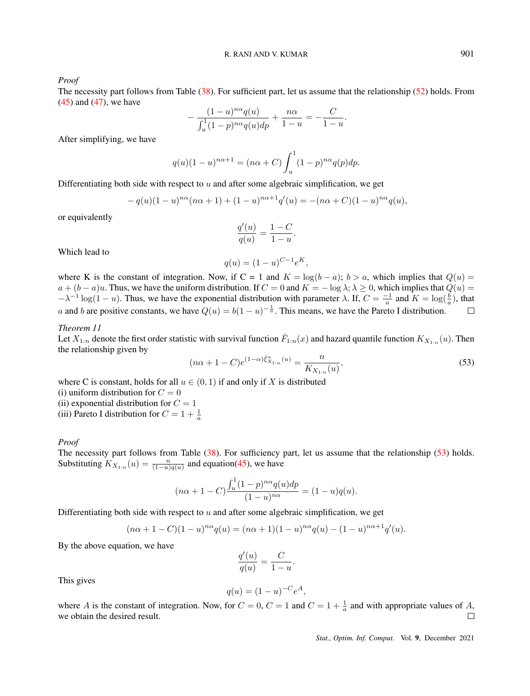*Proof*

The necessity part follows from Table [\(38\)](#page-10-0). For sufficient part, let us assume that the relationship [\(52\)](#page-14-1) holds. From [\(45\)](#page-12-0) and [\(47\)](#page-13-2), we have

<span id="page-15-0"></span>
$$
-\frac{(1-u)^{n\alpha}q(u)}{\int_u^1 (1-p)^{n\alpha}q(u)dp} + \frac{n\alpha}{1-u} = -\frac{C}{1-u}.
$$

After simplifying, we have

$$
q(u)(1-u)^{n\alpha+1} = (n\alpha + C) \int_u^1 (1-p)^{n\alpha} q(p) dp.
$$

Differentiating both side with respect to  $u$  and after some algebraic simplification, we get

$$
- q(u)(1-u)^{n\alpha}(n\alpha + 1) + (1-u)^{n\alpha+1}q'(u) = -(n\alpha + C)(1-u)^{n\alpha}q(u),
$$

or equivalently

$$
\frac{q'(u)}{q(u)} = \frac{1-C}{1-u}.
$$

Which lead to

$$
q(u) = (1 - u)^{C - 1} e^{K},
$$

where K is the constant of integration. Now, if C = 1 and K = log(b – a); b > a, which implies that  $Q(u)$  =  $a + (b - a)u$ . Thus, we have the uniform distribution. If  $C = 0$  and  $K = -\log \lambda$ ;  $\lambda \ge 0$ , which implies that  $Q(u) =$  $-\lambda^{-1} \log(1-u)$ . Thus, we have the exponential distribution with parameter  $\lambda$ . If,  $C = \frac{-1}{a}$  and  $K = \log(\frac{b}{a})$ , that a and b are positive constants, we have  $Q(u) = b(1-u)^{-\frac{1}{a}}$ . This means, we have the Pareto I distribution.  $\Box$ 

## *Theorem 11*

Let  $X_{1:n}$  denote the first order statistic with survival function  $\bar{F}_{1:n}(x)$  and hazard quantile function  $K_{X_{1:n}}(u)$ . Then the relationship given by

$$
(n\alpha + 1 - C)e^{(1-\alpha)\xi_{X_{1:n}}^{\alpha}(u)} = \frac{n}{K_{X_{1:n}}(u)},
$$
\n(53)

where C is constant, holds for all  $u \in (0, 1)$  if and only if X is distributed

(i) uniform distribution for  $C = 0$ 

(ii) exponential distribution for  $C = 1$ 

(iii) Pareto I distribution for  $C = 1 + \frac{1}{a}$ 

#### *Proof*

The necessity part follows from Table [\(38\)](#page-10-0). For sufficiency part, let us assume that the relationship [\(53\)](#page-15-0) holds. Substituting  $K_{X_{1:n}}(u) = \frac{n}{(1-u)q(u)}$  and equation[\(45\)](#page-12-0), we have

$$
(n\alpha + 1 - C) \frac{\int_u^1 (1 - p)^{n\alpha} q(u) dp}{(1 - u)^{n\alpha}} = (1 - u) q(u).
$$

Differentiating both side with respect to  $u$  and after some algebraic simplification, we get

$$
(n\alpha + 1 - C)(1 - u)^{n\alpha}q(u) = (n\alpha + 1)(1 - u)^{n\alpha}q(u) - (1 - u)^{n\alpha + 1}q'(u).
$$

By the above equation, we have

$$
\frac{q'(u)}{q(u)} = \frac{C}{1-u}
$$

.

This gives

$$
q(u) = (1 - u)^{-C} e^{A},
$$

where A is the constant of integration. Now, for  $C = 0$ ,  $C = 1$  and  $C = 1 + \frac{1}{a}$  and with appropriate values of A, we obtain the desired result.  $\Box$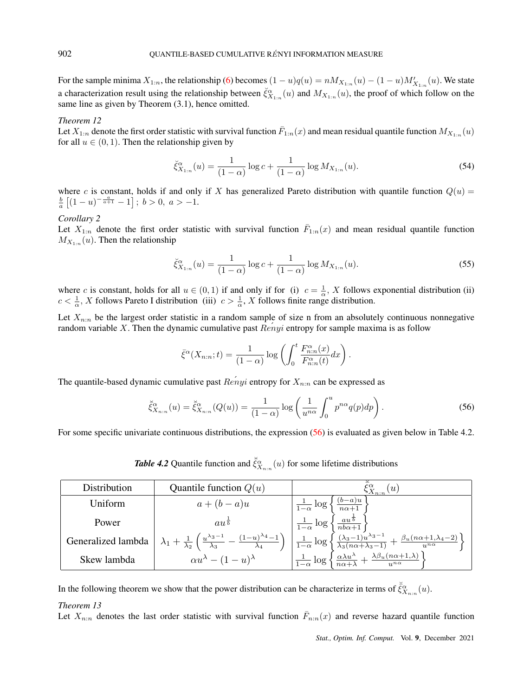For the sample minima  $X_{1:n}$ , the relationship [\(6\)](#page-1-0) becomes  $(1-u)q(u) = nM_{X_{1:n}}(u) - (1-u)M'_{X_{1:n}}(u)$ . We state a characterization result using the relationship between  $\check{\xi}_{X_{1:n}}^{\alpha}(u)$  and  $M_{X_{1:n}}(u)$ , the proof of which follow on the same line as given by Theorem (3.1), hence omitted.

## *Theorem 12*

Let  $X_{1:n}$  denote the first order statistic with survival function  $\bar{F}_{1:n}(x)$  and mean residual quantile function  $M_{X_{1:n}}(u)$ for all  $u \in (0, 1)$ . Then the relationship given by

$$
\check{\xi}_{X_{1:n}}^{\alpha}(u) = \frac{1}{(1-\alpha)} \log c + \frac{1}{(1-\alpha)} \log M_{X_{1:n}}(u). \tag{54}
$$

where c is constant, holds if and only if X has generalized Pareto distribution with quantile function  $Q(u)$  =  $\frac{b}{a}$   $[(1-u)^{-\frac{a}{a+1}}-1]$ ;  $b > 0$ ,  $a > -1$ .

## *Corollary 2*

Let  $X_{1:n}$  denote the first order statistic with survival function  $\bar{F}_{1:n}(x)$  and mean residual quantile function  $M_{X_{1:n}}(u)$ . Then the relationship

$$
\breve{\xi}_{X_{1:n}}^{\alpha}(u) = \frac{1}{(1-\alpha)} \log c + \frac{1}{(1-\alpha)} \log M_{X_{1:n}}(u). \tag{55}
$$

where c is constant, holds for all  $u \in (0,1)$  if and only if for (i)  $c = \frac{1}{\alpha}$ , X follows exponential distribution (ii)  $c < \frac{1}{\alpha}$ , X follows Pareto I distribution (iii)  $c > \frac{1}{\alpha}$ , X follows finite range distribution.

Let  $X_{n:n}$  be the largest order statistic in a random sample of size n from an absolutely continuous nonnegative random variable X. Then the dynamic cumulative past  $\text{Renyi}$  entropy for sample maxima is as follow

<span id="page-16-0"></span>
$$
\bar{\xi}^{\alpha}(X_{n:n};t) = \frac{1}{(1-\alpha)} \log \left( \int_0^t \frac{F_{n:n}^{\alpha}(x)}{F_{n:n}^{\alpha}(t)} dx \right).
$$

The quantile-based dynamic cumulative past  $\hat{Renyi}$  entropy for  $X_{n:n}$  can be expressed as

$$
\breve{\xi}_{X_{n:n}}^{\alpha}(u) = \breve{\xi}_{X_{n:n}}^{\alpha}(Q(u)) = \frac{1}{(1-\alpha)} \log \left( \frac{1}{u^{n\alpha}} \int_0^u p^{n\alpha} q(p) dp \right). \tag{56}
$$

For some specific univariate continuous distributions, the expression [\(56\)](#page-16-0) is evaluated as given below in Table 4.2.

**Table 4.2** Quantile function and  $\breve{\xi}_{X_{n:n}}^{\alpha}(u)$  for some lifetime distributions

| Distribution       | Quantile function $Q(u)$                                                                                                         | $^{\prime}u$                                                                                                                                                  |
|--------------------|----------------------------------------------------------------------------------------------------------------------------------|---------------------------------------------------------------------------------------------------------------------------------------------------------------|
| Uniform            | $a+(b-a)u$                                                                                                                       | $\frac{(b-a)u}{c}$<br>$\frac{1}{1-\alpha} \log$<br>$\overline{n\alpha+1}$                                                                                     |
| Power              | $au^{\frac{1}{b}}$                                                                                                               | $\frac{au^{\frac{1}{b}}}{1}$<br>$\frac{1}{1-\alpha} \log$                                                                                                     |
| Generalized lambda | $\lambda_1 + \frac{1}{\lambda_2} \left( \frac{u^{\lambda_3 - 1}}{\lambda_3} - \frac{(1 - u)^{\lambda_4} - 1}{\lambda_4} \right)$ | $\frac{1}{1-\alpha}\log\left\{\frac{(\lambda_3-1)u^{\lambda_3-1}}{\lambda_3(n\alpha+\lambda_3-1)}+\frac{\beta_u(n\alpha+1,\lambda_4-2)}{u^{n\alpha}}\right\}$ |
| Skew lambda        | $\alpha u^{\lambda} - (1-u)^{\lambda}$                                                                                           | $\left[\frac{\alpha \lambda u^{\lambda}}{\lambda} + \frac{\lambda \beta_{u}(n\alpha+1,\lambda)}{\lambda}\right]$<br>$\frac{1}{1-\alpha} \log$                 |

In the following theorem we show that the power distribution can be characterize in terms of  $\check{\xi}_{X_{n:n}}^{\alpha}(u)$ .

## *Theorem 13*

Let  $X_{n:n}$  denotes the last order statistic with survival function  $\bar{F}_{n:n}(x)$  and reverse hazard quantile function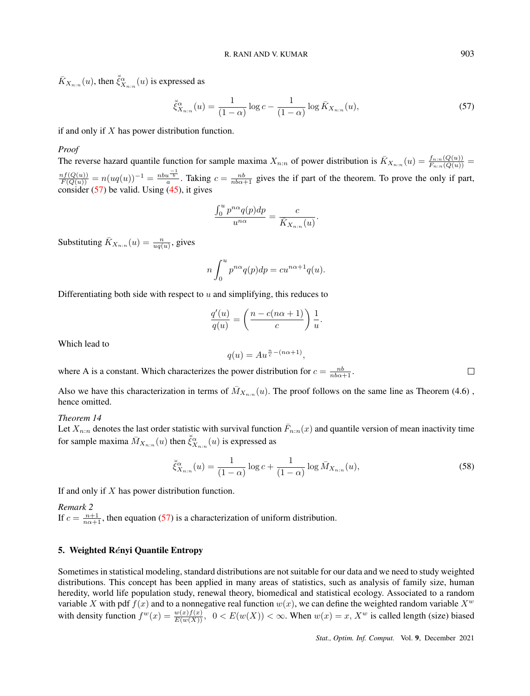$\bar{K}_{X_{n:n}}(u)$ , then  $\breve{\bar{\xi}}_{X_{n:n}}^{\alpha}(u)$  is expressed as

<span id="page-17-0"></span>
$$
\breve{\xi}_{X_{n:n}}^{\alpha}(u) = \frac{1}{(1-\alpha)} \log c - \frac{1}{(1-\alpha)} \log \bar{K}_{X_{n:n}}(u),\tag{57}
$$

if and only if  $X$  has power distribution function.

#### *Proof*

The reverse hazard quantile function for sample maxima  $X_{n:n}$  of power distribution is  $\bar{K}_{X_{n:n}}(u) = \frac{f_{n:n}(Q(u))}{F_{n:n}(Q(u))}$  $\frac{nf(Q(u))}{F(Q(u))} = n(uq(u))^{-1} = \frac{nbu^{-\frac{1}{b}}}{a}$ . Taking  $c = \frac{nb}{nb\alpha+1}$  gives the if part of the theorem. To prove the only if part, consider [\(57\)](#page-17-0) be valid. Using [\(45\)](#page-12-0), it gives

$$
\frac{\int_0^u p^{n\alpha} q(p) dp}{u^{n\alpha}} = \frac{c}{\bar{K}_{X_{n:n}}(u)}.
$$

Substituting  $\bar{K}_{X_{n:n}}(u) = \frac{n}{uq(u)}$ , gives

$$
n\int_0^u p^{n\alpha}q(p)dp = cu^{n\alpha+1}q(u).
$$

Differentiating both side with respect to  $u$  and simplifying, this reduces to

$$
\frac{q'(u)}{q(u)} = \left(\frac{n - c(n\alpha + 1)}{c}\right) \frac{1}{u}.
$$

Which lead to

$$
q(u) = Au^{\frac{n}{c} - (n\alpha + 1)},
$$

where A is a constant. Which characterizes the power distribution for  $c = \frac{nb}{nb\alpha+1}$ .

Also we have this characterization in terms of  $\bar{M}_{X_{n:n}}(u)$ . The proof follows on the same line as Theorem (4.6), hence omitted.

#### *Theorem 14*

Let  $X_{n:n}$  denotes the last order statistic with survival function  $\bar{F}_{n:n}(x)$  and quantile version of mean inactivity time for sample maxima  $\bar{M}_{X_{n:n}}(u)$  then  $\breve{\vec{\xi}}^{\alpha}_{X_{n:n}}(u)$  is expressed as

$$
\breve{\xi}_{X_{n:n}}^{\alpha}(u) = \frac{1}{(1-\alpha)} \log c + \frac{1}{(1-\alpha)} \log \bar{M}_{X_{n:n}}(u),\tag{58}
$$

If and only if X has power distribution function.

*Remark 2* If  $c = \frac{n+1}{n\alpha+1}$ , then equation [\(57\)](#page-17-0) is a characterization of uniform distribution.

# 5. Weighted Rényi Quantile Entropy

Sometimes in statistical modeling, standard distributions are not suitable for our data and we need to study weighted distributions. This concept has been applied in many areas of statistics, such as analysis of family size, human heredity, world life population study, renewal theory, biomedical and statistical ecology. Associated to a random variable X with pdf  $f(x)$  and to a nonnegative real function  $w(x)$ , we can define the weighted random variable  $X^w$ with density function  $f^w(x) = \frac{w(x)f(x)}{E(w(X))}$ ,  $0 < E(w(X)) < \infty$ . When  $w(x) = x$ ,  $X^w$  is called length (size) biased

 $\Box$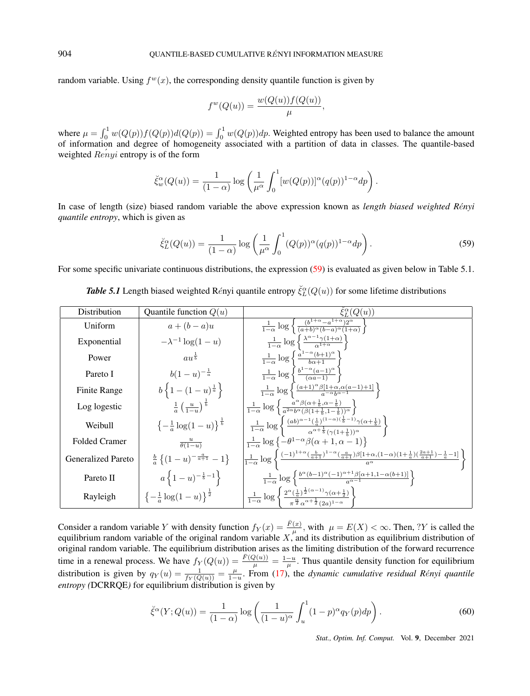random variable. Using  $f^w(x)$ , the corresponding density quantile function is given by

<span id="page-18-0"></span>
$$
f^{w}(Q(u)) = \frac{w(Q(u))f(Q(u))}{\mu},
$$

where  $\mu = \int_0^1 w(Q(p))f(Q(p))d(Q(p)) = \int_0^1 w(Q(p))dp$ . Weighted entropy has been used to balance the amount of information and degree of homogeneity associated with a partition of data in classes. The quantile-based weighted  $\text{Re} \hat{n}$  entropy is of the form

$$
\breve{\xi}_w^{\alpha}(Q(u)) = \frac{1}{(1-\alpha)} \log \left( \frac{1}{\mu^{\alpha}} \int_0^1 [w(Q(p))]^{\alpha}(q(p))^{1-\alpha} dp \right).
$$

In case of length (size) biased random variable the above expression known as *length biased weighted R*e´*nyi quantile entropy*, which is given as

$$
\check{\xi}_L^{\alpha}(Q(u)) = \frac{1}{(1-\alpha)} \log \left( \frac{1}{\mu^{\alpha}} \int_0^1 (Q(p))^{\alpha} (q(p))^{1-\alpha} dp \right). \tag{59}
$$

For some specific univariate continuous distributions, the expression [\(59\)](#page-18-0) is evaluated as given below in Table 5.1.

| <b>Table 5.1</b> Length biased weighted Rényi quantile entropy $\xi_L^{\alpha}(Q(u))$ for some lifetime distributions |  |
|-----------------------------------------------------------------------------------------------------------------------|--|
|-----------------------------------------------------------------------------------------------------------------------|--|

| Distribution              | Quantile function $Q(u)$                                  | $\bar{\xi}_L^{\alpha}(Q(u))$                                                                                                                                                                             |
|---------------------------|-----------------------------------------------------------|----------------------------------------------------------------------------------------------------------------------------------------------------------------------------------------------------------|
| Uniform                   | $a+(b-a)u$                                                | $\frac{1}{1-\alpha}\log\left\{\frac{(b^{1+\alpha}-a^{1+\alpha})2^{\alpha}}{(a+b)^{\alpha}(b-a)^{\alpha}(1+\alpha)}\right\}$                                                                              |
| Exponential               | $-\lambda^{-1} \log(1-u)$                                 | $\frac{1}{1-\alpha} \log \left\{ \frac{\lambda^{\alpha-1} \gamma(1+\alpha)}{\alpha^{1+\alpha}} \right\}$                                                                                                 |
| Power                     | $au^{\frac{1}{b}}$                                        | $\frac{1}{1-\alpha} \log \left\{ \frac{a^{1-\alpha}(b+1)^{\alpha}}{b\alpha+1} \right\}$                                                                                                                  |
| Pareto I                  | $b(1-u)^{-\frac{1}{a}}$                                   | $\frac{1}{1-\alpha}\log\left\{\frac{b^{1-\alpha}(a-1)^{\alpha}}{(\alpha a-1)}\right\}$                                                                                                                   |
| Finite Range              | $b\left\{1-(1-u)^{\frac{1}{a}}\right\}$                   | $\frac{1}{1-\alpha}\log\left\{\frac{(a+1)^{\alpha}\beta[1+\alpha,\alpha(a-1)+1]}{a^{-\alpha}b^{\alpha-1}}\right\}$                                                                                       |
| Log logestic              | $\frac{1}{a} \left( \frac{u}{1-x} \right)^{\frac{1}{b}}$  | $\frac{1}{1-\alpha}\log\left\{\frac{a^{\alpha}\beta(\alpha+\frac{1}{b},\alpha-\frac{1}{b})}{a^{2\alpha}b^{\alpha}(\beta(1+\frac{1}{b},1-\frac{1}{b}))^{\alpha}}\right\}$                                 |
| Weibull                   | $\left\{-\frac{1}{a}\log(1-u)\right\}^{\frac{1}{b}}$      | $-\frac{1}{1-\alpha}\log \left\{\frac{(ab)^{\alpha-1}(\frac{1}{a})^{(1-\alpha)(\frac{1}{b}-1)}\gamma(\alpha+\frac{1}{b})}{\alpha^{\alpha+\frac{1}{b}}(\gamma(1+\frac{1}{b}))^{\alpha}}\right\}$          |
| <b>Folded Cramer</b>      | $\frac{u}{\theta(1-u)}$                                   | $\frac{1}{1-\alpha}\log\left\{-\theta^{1-\alpha}\beta(\alpha+1,\alpha-1)\right\}$                                                                                                                        |
| <b>Generalized Pareto</b> | $\frac{b}{a} \left\{ (1-u)^{-\frac{a}{a+1}} - 1 \right\}$ | $\left \frac{1}{1-\alpha}\log\left\{\frac{(-1)^{1+\alpha}(\frac{b}{a+1})^{1-\alpha}(\frac{a}{a+1})\beta[1+\alpha,(1-\alpha)(1+\frac{1}{a})(\frac{2a+1}{a+1})-\frac{1}{a}-1]}{a^{\alpha}}\right\}\right $ |
| Pareto II                 | $a\left\{1-u\right\}^{-\frac{1}{b}-1}$                    | $\frac{1}{1-\alpha}\log\left\{\frac{b^{\alpha}(b-1)^{\alpha}(-1)^{\alpha+1}\beta[\alpha+1,1-\alpha(b+1)]}{a^{\alpha-1}}\right\}$                                                                         |
| Rayleigh                  | $\left\{-\frac{1}{a}\log(1-u)\right\}^{\frac{1}{2}}$      | $\frac{1}{1-\alpha}\log\left\{\frac{2^{\alpha}(\frac{1}{\alpha})^{\frac{1}{2}(\alpha-1)}\gamma(\alpha+\frac{1}{2})}{\pi^{\frac{\alpha}{2}}\alpha^{\alpha+\frac{1}{2}}(2a)^{1-\alpha}}\right\}$           |

Consider a random variable Y with density function  $f_Y(x) = \frac{\bar{F}(x)}{\mu}$ , with  $\mu = E(X) < \infty$ . Then, ?Y is called the equilibrium random variable of the original random variable  $X$ , and its distribution as equilibrium distribution of original random variable. The equilibrium distribution arises as the limiting distribution of the forward recurrence time in a renewal process. We have  $f_Y(Q(u)) = \frac{\bar{F}(Q(u))}{\mu} = \frac{1-u}{\mu}$ . Thus quantile density function for equilibrium distribution is given by  $q_Y(u) = \frac{1}{f_Y(Q(u))} = \frac{\mu}{1-u}$ . From [\(17\)](#page-4-0), the *dynamic cumulative residual Rényi quantile entropy (*DCRRQE*)* for equilibrium distribution is given by

<span id="page-18-1"></span>
$$
\check{\xi}^{\alpha}(Y;Q(u)) = \frac{1}{(1-\alpha)} \log \left( \frac{1}{(1-u)^{\alpha}} \int_{u}^{1} (1-p)^{\alpha} q_{Y}(p) dp \right). \tag{60}
$$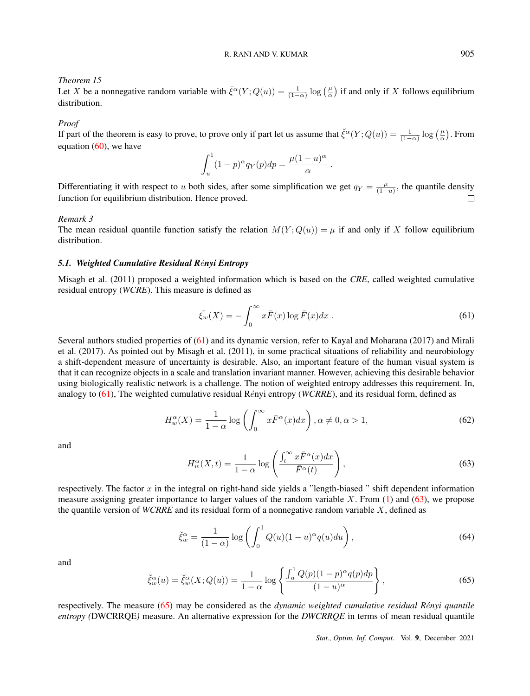# *Theorem 15*

Let X be a nonnegative random variable with  $\check{\xi}^{\alpha}(Y; Q(u)) = \frac{1}{(1-\alpha)} \log \left(\frac{\mu}{\alpha}\right)$  if and only if X follows equilibrium distribution.

## *Proof*

If part of the theorem is easy to prove, to prove only if part let us assume that  $\check{\xi}^{\alpha}(Y;Q(u)) = \frac{1}{(1-\alpha)} \log \left(\frac{\mu}{\alpha}\right)$ . From equation  $(60)$ , we have

<span id="page-19-0"></span>
$$
\int_u^1 (1-p)^{\alpha} q_Y(p) dp = \frac{\mu (1-u)^{\alpha}}{\alpha}.
$$

Differentiating it with respect to u both sides, after some simplification we get  $q_Y = \frac{\mu}{(1-u)}$ , the quantile density function for equilibrium distribution. Hence proved.  $\Box$ 

#### *Remark 3*

The mean residual quantile function satisfy the relation  $M(Y; Q(u)) = \mu$  if and only if X follow equilibrium distribution.

# 5.1. Weighted Cumulative Residual Rényi Entropy

Misagh et al. (2011) proposed a weighted information which is based on the *CRE*, called weighted cumulative residual entropy (*WCRE*). This measure is defined as

$$
\bar{\xi_w}(X) = -\int_0^\infty x \bar{F}(x) \log \bar{F}(x) dx . \tag{61}
$$

Several authors studied properties of [\(61\)](#page-19-0) and its dynamic version, refer to Kayal and Moharana (2017) and Mirali et al. (2017). As pointed out by Misagh et al. (2011), in some practical situations of reliability and neurobiology a shift-dependent measure of uncertainty is desirable. Also, an important feature of the human visual system is that it can recognize objects in a scale and translation invariant manner. However, achieving this desirable behavior using biologically realistic network is a challenge. The notion of weighted entropy addresses this requirement. In, analogy to [\(61\)](#page-19-0), The weighted cumulative residual Rényi entropy (*WCRRE*), and its residual form, defined as

$$
H_w^{\alpha}(X) = \frac{1}{1-\alpha} \log \left( \int_0^{\infty} x \bar{F}^{\alpha}(x) dx \right), \alpha \neq 0, \alpha > 1,
$$
 (62)

and

<span id="page-19-1"></span>
$$
H_w^{\alpha}(X,t) = \frac{1}{1-\alpha} \log \left( \frac{\int_t^{\infty} x \bar{F}^{\alpha}(x) dx}{\bar{F}^{\alpha}(t)} \right),
$$
\n(63)

respectively. The factor  $x$  in the integral on right-hand side yields a "length-biased" shift dependent information measure assigning greater importance to larger values of the random variable  $X$ . From [\(1\)](#page-0-1) and [\(63\)](#page-19-1), we propose the quantile version of *WCRRE* and its residual form of a nonnegative random variable X, defined as

<span id="page-19-3"></span>
$$
\check{\xi}_w^{\alpha} = \frac{1}{(1-\alpha)} \log \left( \int_0^1 Q(u)(1-u)^{\alpha} q(u) du \right), \tag{64}
$$

and

<span id="page-19-2"></span>
$$
\check{\xi}_w^{\alpha}(u) = \check{\xi}_w^{\alpha}(X; Q(u)) = \frac{1}{1-\alpha} \log \left\{ \frac{\int_u^1 Q(p)(1-p)^{\alpha} q(p) dp}{(1-u)^{\alpha}} \right\},\tag{65}
$$

respectively. The measure [\(65\)](#page-19-2) may be considered as the *dynamic weighted cumulative residual Rényi quantile entropy (*DWCRRQE*)* measure. An alternative expression for the *DWCRRQE* in terms of mean residual quantile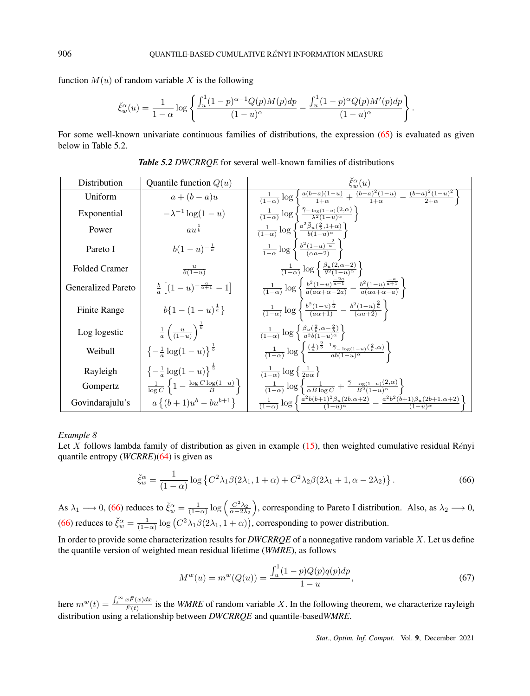function  $M(u)$  of random variable X is the following

<span id="page-20-0"></span>
$$
\check{\xi}_w^{\alpha}(u) = \frac{1}{1-\alpha} \log \left\{ \frac{\int_u^1 (1-p)^{\alpha-1} Q(p) M(p) dp}{(1-u)^{\alpha}} - \frac{\int_u^1 (1-p)^{\alpha} Q(p) M'(p) dp}{(1-u)^{\alpha}} \right\}.
$$

For some well-known univariate continuous families of distributions, the expression [\(65\)](#page-19-2) is evaluated as given below in Table 5.2.

| Distribution              | Quantile function $Q(u)$                                       | $\bar{\xi}_w^{\alpha}(u)$                                                                                                                                           |
|---------------------------|----------------------------------------------------------------|---------------------------------------------------------------------------------------------------------------------------------------------------------------------|
| Uniform                   | $a+(b-a)u$                                                     | $\frac{1}{(1-\alpha)}\log\left\{\frac{a(b-a)(1-u)}{1+\alpha}+\frac{(b-a)^2(1-u)}{1+\alpha}-\frac{(b-a)^2(1-u)^2}{2+\alpha}\right\}$                                 |
| Exponential               | $-\lambda^{-1} \log(1-u)$                                      | $\frac{1}{(1-\alpha)}\log\left\{\frac{\bar{\gamma}-\log(1-u)}{\lambda^2(1-u)^\alpha}\right\}$                                                                       |
| Power                     | $au^{\frac{1}{b}}$                                             | $\frac{1}{(1-\alpha)}\log\left\{\frac{a^2\bar{\beta}_u(\frac{2}{b},1+\alpha)}{b(1-u)^\alpha}\right\}$                                                               |
| Pareto I                  | $b(1-u)^{-\frac{1}{a}}$                                        | $rac{1}{1-\alpha} \log \left\{ \frac{b^2(1-u)^{\frac{-2}{\alpha}}}{(\alpha a-2)} \right\}$                                                                          |
| <b>Folded Cramer</b>      | $\frac{u}{\theta(1-u)}$                                        | $\frac{1}{(1-\alpha)}\log\left\{\frac{\bar{\beta}_u(2,\alpha-2)}{\theta^2(1-u)^\alpha}\right\}$                                                                     |
| <b>Generalized Pareto</b> | $\frac{b}{a}\left[ (1-u)^{-\frac{a}{a+1}} - 1 \right]$         | $\frac{1}{(1-\alpha)}\log \left\{\frac{b^2(1-u)^{\frac{-2a}{\alpha+1}}}{a(a\alpha+\alpha-2a)}-\frac{b^2(1-u)^{\frac{-a}{\alpha+1}}}{a(\alpha a+\alpha-a)}\right\}$  |
| Finite Range              | $b\{1-(1-u)^{\frac{1}{a}}\}\$                                  | $\frac{1}{(1-\alpha)}\log \left\{\frac{b^2(1-u)^{\frac{1}{a}}}{(a\alpha+1)}-\frac{b^2(1-u)^{\frac{2}{a}}}{(\alpha a+2)}\right\}$                                    |
| Log logestic              | $rac{1}{a}$ $\left(\frac{u}{(1-u)}\right)^{\frac{1}{b}}$       | $\frac{1}{(1-\alpha)}\log\left\{\frac{\beta_u(\frac{2}{b},\alpha-\frac{2}{b})}{a^2b(1-u)^\alpha}\right\}$                                                           |
| Weibull                   | $\{-\frac{1}{2}\log(1-u)\}^{\frac{1}{b}}$                      | $\frac{1}{(1-\alpha)}\log \left\{\frac{\left(\frac{1}{a}\right)^{\frac{2}{b}-1}\bar{\gamma}_{-\log(1-u)}\left(\frac{2}{b},\alpha\right)}{ab(1-u)^{\alpha}}\right\}$ |
| Rayleigh                  | $\{-\frac{1}{2}\log(1-u)\}^{\frac{1}{2}}$                      | $\frac{1}{(1-\alpha)}\log\left\{\frac{1}{2a\alpha}\right\}$                                                                                                         |
| Gompertz                  | $\frac{1}{\log C}\left\{1-\frac{\log C\log(1-u)}{B}\right\}\;$ | $\frac{1}{(1-\alpha)}\log\left\{\frac{1}{\alpha B\log C}+\frac{\bar{\gamma}-\log(1-u)}{B^2(1-u)^{\alpha}}\right\}$                                                  |
| Govindarajulu's           | $a\{(b+1)u^{b}-bu^{b+1}\}\$                                    | $\frac{1}{(1-\alpha)}\log\left\{\frac{a^2b(b+1)^2\beta_u(2b,\alpha+2)}{(1-u)^{\alpha}}-\frac{a^2b^2(b+1)\bar{\beta}_u(2b+1,\alpha+2)}{(1-u)^{\alpha}}\right\}$      |

*Table 5.2 DWCRRQE* for several well-known families of distributions

## *Example 8*

Let X follows lambda family of distribution as given in example [\(15\)](#page-3-0), then weighted cumulative residual Rényi quantile entropy (*WCRRE*)[\(64\)](#page-19-3) is given as

$$
\check{\xi}_w^{\alpha} = \frac{1}{(1-\alpha)} \log \left\{ C^2 \lambda_1 \beta (2\lambda_1, 1+\alpha) + C^2 \lambda_2 \beta (2\lambda_1 + 1, \alpha - 2\lambda_2) \right\}.
$$
 (66)

As  $\lambda_1 \longrightarrow 0$ , [\(66\)](#page-20-0) reduces to  $\zeta_w^{\alpha} = \frac{1}{(1-\alpha)} \log \left( \frac{C^2 \lambda_2}{\alpha - 2\lambda_2} \right)$ , corresponding to Pareto I distribution. Also, as  $\lambda_2 \longrightarrow 0$ , [\(66\)](#page-20-0) reduces to  $\check{\xi}_w^{\alpha} = \frac{1}{(1-\alpha)} \log (C^2 \lambda_1 \beta (2\lambda_1, 1+\alpha))$ , corresponding to power distribution.

In order to provide some characterization results for *DWCRRQE* of a nonnegative random variable X. Let us define the quantile version of weighted mean residual lifetime (*WMRE*), as follows

<span id="page-20-1"></span>
$$
M^{w}(u) = m^{w}(Q(u)) = \frac{\int_{u}^{1} (1-p)Q(p)q(p)dp}{1-u},
$$
\n(67)

here  $m^w(t) = \frac{\int_t^\infty x \bar{F}(x) dx}{\bar{F}(t)}$  $\frac{dF(t)}{F(t)}$  is the *WMRE* of random variable X. In the following theorem, we characterize rayleigh distribution using a relationship between *DWCRRQE* and quantile-based*WMRE*.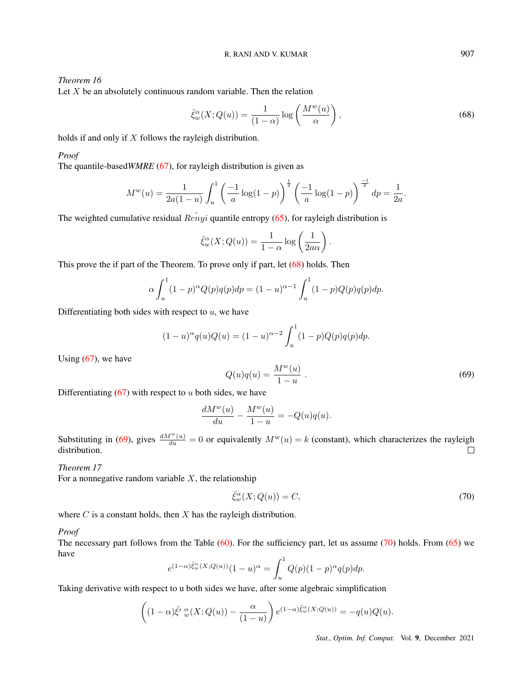# *Theorem 16*

Let  $X$  be an absolutely continuous random variable. Then the relation

<span id="page-21-0"></span>
$$
\check{\xi}_w^{\alpha}(X; Q(u)) = \frac{1}{(1-\alpha)} \log \left( \frac{M^w(u)}{\alpha} \right),\tag{68}
$$

holds if and only if X follows the rayleigh distribution.

## *Proof*

The quantile-based*WMRE* [\(67\)](#page-20-1), for rayleigh distribution is given as

$$
M^{w}(u) = \frac{1}{2a(1-u)} \int_{u}^{1} \left(\frac{-1}{a}\log(1-p)\right)^{\frac{1}{2}} \left(\frac{-1}{a}\log(1-p)\right)^{\frac{-1}{2}} dp = \frac{1}{2a}.
$$

The weighted cumulative residual  $\hat{Renyi}$  quantile entropy [\(65\)](#page-19-2), for rayleigh distribution is

<span id="page-21-1"></span>
$$
\check{\xi}_w^{\alpha}(X; Q(u)) = \frac{1}{1-\alpha} \log \left( \frac{1}{2a\alpha} \right).
$$

This prove the if part of the Theorem. To prove only if part, let [\(68\)](#page-21-0) holds. Then

$$
\alpha \int_u^1 (1-p)^{\alpha} Q(p) q(p) dp = (1-u)^{\alpha-1} \int_u^1 (1-p) Q(p) q(p) dp.
$$

Differentiating both sides with respect to  $u$ , we have

$$
(1-u)^{\alpha} q(u)Q(u) = (1-u)^{\alpha-2} \int_u^1 (1-p)Q(p)q(p)dp.
$$

Using  $(67)$ , we have

$$
Q(u)q(u) = \frac{M^w(u)}{1-u} \,. \tag{69}
$$

Differentiating  $(67)$  with respect to u both sides, we have

<span id="page-21-2"></span>
$$
\frac{dM^w(u)}{du} - \frac{M^w(u)}{1-u} = -Q(u)q(u).
$$

Substituting in [\(69\)](#page-21-1), gives  $\frac{dM^w(u)}{du} = 0$  or equivalently  $M^w(u) = k$  (constant), which characterizes the rayleigh distribution.

## *Theorem 17*

For a nonnegative random variable  $X$ , the relationship

$$
\breve{\xi}_w^{\alpha}(X; Q(u)) = C,\tag{70}
$$

where  $C$  is a constant holds, then  $X$  has the rayleigh distribution.

#### *Proof*

The necessary part follows from the Table [\(60\)](#page-18-1). For the sufficiency part, let us assume [\(70\)](#page-21-2) holds. From [\(65\)](#page-19-2) we have

$$
e^{(1-\alpha)\check{\xi}_w^{\alpha}(X;Q(u))}(1-u)^{\alpha} = \int_u^1 Q(p)(1-p)^{\alpha}q(p)dp.
$$

Taking derivative with respect to u both sides we have, after some algebraic simplification

$$
\left((1-\alpha)\check{\xi}'\,u_{w}(X;Q(u))-\frac{\alpha}{(1-u)}\right)e^{(1-\alpha)\check{\xi}_{w}^{\alpha}(X;Q(u))}=-q(u)Q(u).
$$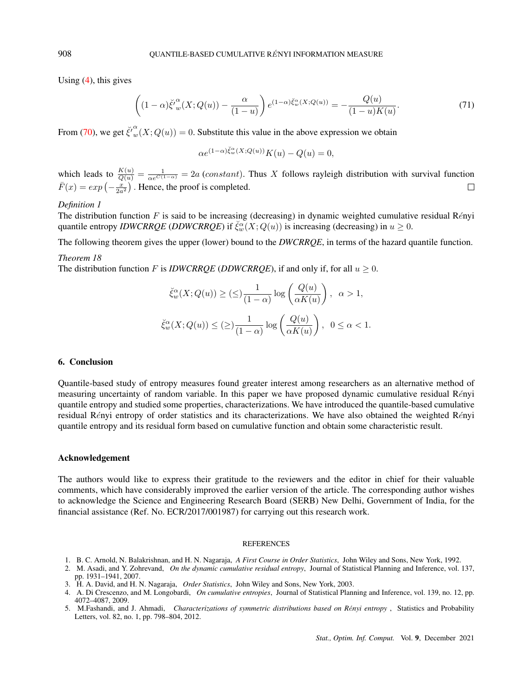Using [\(4\)](#page-1-1), this gives

$$
\left((1-\alpha)\check{\xi'}_w^{\alpha}(X;Q(u))-\frac{\alpha}{(1-u)}\right)e^{(1-\alpha)\check{\xi}_w^{\alpha}(X;Q(u))}=-\frac{Q(u)}{(1-u)K(u)}.\tag{71}
$$

From [\(70\)](#page-21-2), we get  $\check{\xi}'^{\alpha}_{w}(X;Q(u)) = 0$ . Substitute this value in the above expression we obtain

$$
\alpha e^{(1-\alpha)\check{\xi}_w^{\alpha}(X;Q(u))}K(u) - Q(u) = 0,
$$

which leads to  $\frac{K(u)}{Q(u)} = \frac{1}{\alpha e^{C(1-\alpha)}} = 2a$  (constant). Thus X follows rayleigh distribution with survival function  $\bar{F}(x) = exp\left(-\frac{x}{2a^2}\right)$ . Hence, the proof is completed.  $\Box$ 

## *Definition 1*

The distribution function F is said to be increasing (decreasing) in dynamic weighted cumulative residual Rényi quantile entropy *IDWCRRQE* (*DDWCRRQE*) if  $\check{\zeta}_w^{\alpha}(X; Q(u))$  is increasing (decreasing) in  $u \ge 0$ .

The following theorem gives the upper (lower) bound to the *DWCRRQE*, in terms of the hazard quantile function.

#### *Theorem 18*

The distribution function F is *IDWCRRQE* (*DDWCRRQE*), if and only if, for all  $u \ge 0$ .

$$
\check{\xi}_w^{\alpha}(X; Q(u)) \geq (\leq) \frac{1}{(1-\alpha)} \log \left( \frac{Q(u)}{\alpha K(u)} \right), \ \alpha > 1,
$$
  

$$
\check{\xi}_w^{\alpha}(X; Q(u)) \leq (\geq) \frac{1}{(1-\alpha)} \log \left( \frac{Q(u)}{\alpha K(u)} \right), \ 0 \leq \alpha < 1.
$$

## 6. Conclusion

Quantile-based study of entropy measures found greater interest among researchers as an alternative method of measuring uncertainty of random variable. In this paper we have proposed dynamic cumulative residual Rényi quantile entropy and studied some properties, characterizations. We have introduced the quantile-based cumulative residual Rényi entropy of order statistics and its characterizations. We have also obtained the weighted Rényi quantile entropy and its residual form based on cumulative function and obtain some characteristic result.

#### <span id="page-22-0"></span>Acknowledgement

The authors would like to express their gratitude to the reviewers and the editor in chief for their valuable comments, which have considerably improved the earlier version of the article. The corresponding author wishes to acknowledge the Science and Engineering Research Board (SERB) New Delhi, Government of India, for the financial assistance (Ref. No. ECR/2017/001987) for carrying out this research work.

#### REFERENCES

- 1. B. C. Arnold, N. Balakrishnan, and H. N. Nagaraja, *A First Course in Order Statistics*, John Wiley and Sons, New York, 1992.
- 2. M. Asadi, and Y. Zohrevand, *On the dynamic cumulative residual entropy*, Journal of Statistical Planning and Inference, vol. 137, pp. 1931–1941, 2007.
- 3. H. A. David, and H. N. Nagaraja, *Order Statistics*, John Wiley and Sons, New York, 2003.
- 4. A. Di Crescenzo, and M. Longobardi, *On cumulative entropies*, Journal of Statistical Planning and Inference, vol. 139, no. 12, pp. 4072–4087, 2009.
- 5. M.Fashandi, and J. Ahmadi, *Characterizations of symmetric distributions based on Rényi entropy*, Statistics and Probability Letters, vol. 82, no. 1, pp. 798–804, 2012.